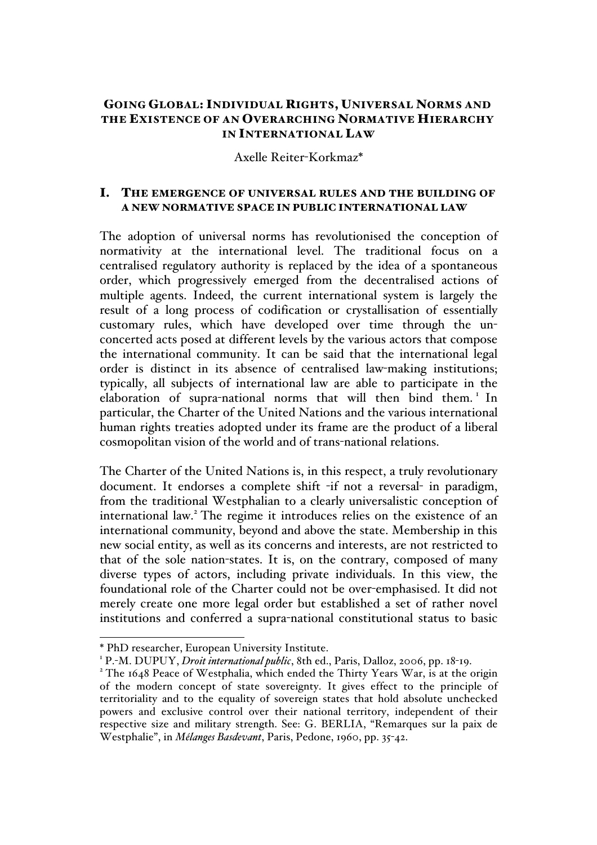# GOING GLOBAL: INDIVIDUAL RIGHTS, UNIVERSAL NORMS AND THE EXISTENCE OF AN OVERARCHING NORMATIVE HIERARCHY IN INTERNATIONAL LAW

### Axelle Reiter-Korkmaz\*

## I. THE EMERGENCE OF UNIVERSAL RULES AND THE BUILDING OF A NEW NORMATIVE SPACE IN PUBLIC INTERNATIONAL LAW

The adoption of universal norms has revolutionised the conception of normativity at the international level. The traditional focus on a centralised regulatory authority is replaced by the idea of a spontaneous order, which progressively emerged from the decentralised actions of multiple agents. Indeed, the current international system is largely the result of a long process of codification or crystallisation of essentially customary rules, which have developed over time through the unconcerted acts posed at different levels by the various actors that compose the international community. It can be said that the international legal order is distinct in its absence of centralised law-making institutions; typically, all subjects of international law are able to participate in the elaboration of supra-national norms that will then bind them.<sup>1</sup> In particular, the Charter of the United Nations and the various international human rights treaties adopted under its frame are the product of a liberal cosmopolitan vision of the world and of trans-national relations.

The Charter of the United Nations is, in this respect, a truly revolutionary document. It endorses a complete shift -if not a reversal- in paradigm, from the traditional Westphalian to a clearly universalistic conception of international law.<sup>2</sup> The regime it introduces relies on the existence of an international community, beyond and above the state. Membership in this new social entity, as well as its concerns and interests, are not restricted to that of the sole nation-states. It is, on the contrary, composed of many diverse types of actors, including private individuals. In this view, the foundational role of the Charter could not be over-emphasised. It did not merely create one more legal order but established a set of rather novel institutions and conferred a supra-national constitutional status to basic

<sup>\*</sup> PhD researcher, European University Institute.<br><sup>1</sup> P.-M. DUPUY, *Droit international public*, 8th ed., Paris, Dalloz, 2006, pp. 18-19.<br><sup>2</sup> The 1648 Peace of Westphalia, which ended the Thirty Years War, is at the origin of the modern concept of state sovereignty. It gives effect to the principle of territoriality and to the equality of sovereign states that hold absolute unchecked powers and exclusive control over their national territory, independent of their respective size and military strength. See: G. BERLIA, "Remarques sur la paix de Westphalie", in *Mélanges Basdevant*, Paris, Pedone, 1960, pp. 35-42.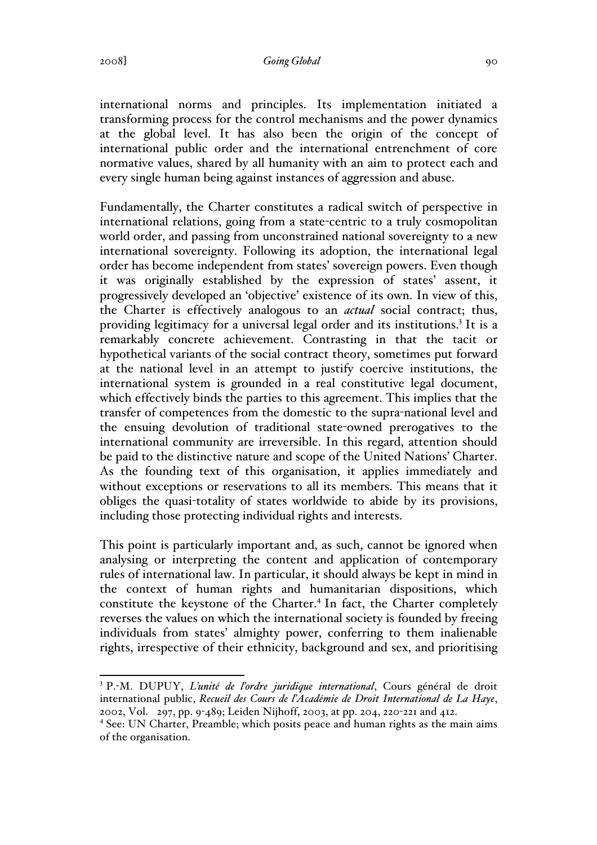international norms and principles. Its implementation initiated a transforming process for the control mechanisms and the power dynamics at the global level. It has also been the origin of the concept of international public order and the international entrenchment of core normative values, shared by all humanity with an aim to protect each and every single human being against instances of aggression and abuse.

Fundamentally, the Charter constitutes a radical switch of perspective in international relations, going from a state-centric to a truly cosmopolitan world order, and passing from unconstrained national sovereignty to a new international sovereignty. Following its adoption, the international legal order has become independent from states' sovereign powers. Even though it was originally established by the expression of states' assent, it progressively developed an 'objective' existence of its own. In view of this, the Charter is effectively analogous to an *actual* social contract; thus, providing legitimacy for a universal legal order and its institutions.3 It is a remarkably concrete achievement. Contrasting in that the tacit or hypothetical variants of the social contract theory, sometimes put forward at the national level in an attempt to justify coercive institutions, the international system is grounded in a real constitutive legal document, which effectively binds the parties to this agreement. This implies that the transfer of competences from the domestic to the supra-national level and the ensuing devolution of traditional state-owned prerogatives to the international community are irreversible. In this regard, attention should be paid to the distinctive nature and scope of the United Nations' Charter. As the founding text of this organisation, it applies immediately and without exceptions or reservations to all its members. This means that it obliges the quasi-totality of states worldwide to abide by its provisions, including those protecting individual rights and interests.

This point is particularly important and, as such, cannot be ignored when analysing or interpreting the content and application of contemporary rules of international law. In particular, it should always be kept in mind in the context of human rights and humanitarian dispositions, which constitute the keystone of the Charter.<sup>4</sup> In fact, the Charter completely reverses the values on which the international society is founded by freeing individuals from states' almighty power, conferring to them inalienable rights, irrespective of their ethnicity, background and sex, and prioritising

 <sup>3</sup> P.-M. DUPUY, *L'unité de l'ordre juridique international*, Cours général de droit international public, *Recueil des Cours de l'Académie de Droit International de La Haye*, 2002, Vol. 297, pp. 9-489; Leiden Nijhoff, 2003, at pp. 204, 220-221 and 412.

<sup>4</sup> See: UN Charter, Preamble; which posits peace and human rights as the main aims of the organisation.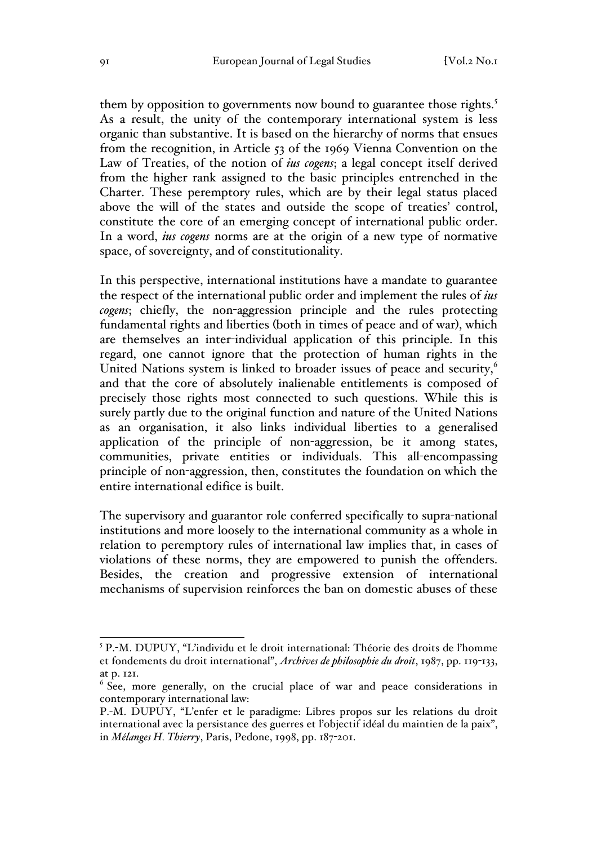them by opposition to governments now bound to guarantee those rights.<sup>5</sup> As a result, the unity of the contemporary international system is less organic than substantive. It is based on the hierarchy of norms that ensues from the recognition, in Article 53 of the 1969 Vienna Convention on the Law of Treaties, of the notion of *ius cogens*; a legal concept itself derived from the higher rank assigned to the basic principles entrenched in the Charter. These peremptory rules, which are by their legal status placed above the will of the states and outside the scope of treaties' control, constitute the core of an emerging concept of international public order. In a word, *ius cogens* norms are at the origin of a new type of normative space, of sovereignty, and of constitutionality.

In this perspective, international institutions have a mandate to guarantee the respect of the international public order and implement the rules of *ius cogens*; chiefly, the non-aggression principle and the rules protecting fundamental rights and liberties (both in times of peace and of war), which are themselves an inter-individual application of this principle. In this regard, one cannot ignore that the protection of human rights in the United Nations system is linked to broader issues of peace and security,<sup>6</sup> and that the core of absolutely inalienable entitlements is composed of precisely those rights most connected to such questions. While this is surely partly due to the original function and nature of the United Nations as an organisation, it also links individual liberties to a generalised application of the principle of non-aggression, be it among states, communities, private entities or individuals. This all-encompassing principle of non-aggression, then, constitutes the foundation on which the entire international edifice is built.

The supervisory and guarantor role conferred specifically to supra-national institutions and more loosely to the international community as a whole in relation to peremptory rules of international law implies that, in cases of violations of these norms, they are empowered to punish the offenders. Besides, the creation and progressive extension of international mechanisms of supervision reinforces the ban on domestic abuses of these

 <sup>5</sup> P.-M. DUPUY, "L'individu et le droit international: Théorie des droits de l'homme et fondements du droit international", *Archives de philosophie du droit*, 1987, pp. 119-133, at p. 121.

 $6\text{S}$  See, more generally, on the crucial place of war and peace considerations in contemporary international law:

P.-M. DUPUY, "L'enfer et le paradigme: Libres propos sur les relations du droit international avec la persistance des guerres et l'objectif idéal du maintien de la paix", in *Mélanges H. Thierry*, Paris, Pedone, 1998, pp. 187-201.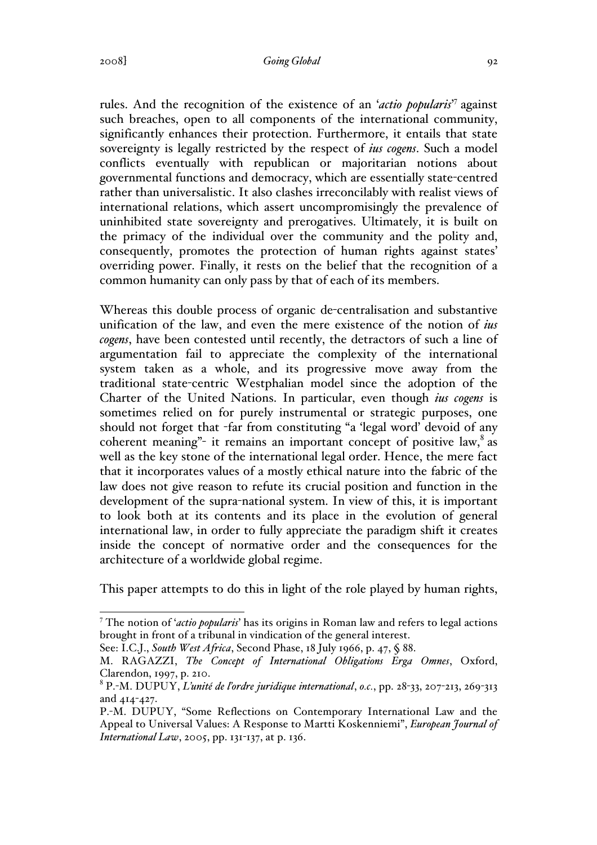rules. And the recognition of the existence of an '*actio popularis*' <sup>7</sup> against such breaches, open to all components of the international community, significantly enhances their protection. Furthermore, it entails that state sovereignty is legally restricted by the respect of *ius cogens*. Such a model conflicts eventually with republican or majoritarian notions about governmental functions and democracy, which are essentially state-centred rather than universalistic. It also clashes irreconcilably with realist views of international relations, which assert uncompromisingly the prevalence of uninhibited state sovereignty and prerogatives. Ultimately, it is built on the primacy of the individual over the community and the polity and, consequently, promotes the protection of human rights against states' overriding power. Finally, it rests on the belief that the recognition of a common humanity can only pass by that of each of its members.

Whereas this double process of organic de-centralisation and substantive unification of the law, and even the mere existence of the notion of *ius cogens*, have been contested until recently, the detractors of such a line of argumentation fail to appreciate the complexity of the international system taken as a whole, and its progressive move away from the traditional state-centric Westphalian model since the adoption of the Charter of the United Nations. In particular, even though *ius cogens* is sometimes relied on for purely instrumental or strategic purposes, one should not forget that -far from constituting "a 'legal word' devoid of any coherent meaning"- it remains an important concept of positive  $law^3$  as well as the key stone of the international legal order. Hence, the mere fact that it incorporates values of a mostly ethical nature into the fabric of the law does not give reason to refute its crucial position and function in the development of the supra-national system. In view of this, it is important to look both at its contents and its place in the evolution of general international law, in order to fully appreciate the paradigm shift it creates inside the concept of normative order and the consequences for the architecture of a worldwide global regime.

This paper attempts to do this in light of the role played by human rights,

 <sup>7</sup> The notion of '*actio popularis*' has its origins in Roman law and refers to legal actions brought in front of a tribunal in vindication of the general interest.

See: I.C.J., *South West Africa*, Second Phase, 18 July 1966, p. 47, § 88.

M. RAGAZZI, *The Concept of International Obligations Erga Omnes*, Oxford, Clarendon, 1997, p. 210.<br><sup>8</sup> P.-M. DUPUY, *L'unité de l'ordre juridique international*, *o.c.*, pp. 28-33, 207-213, 269-313

and 414-427.

P.-M. DUPUY, "Some Reflections on Contemporary International Law and the Appeal to Universal Values: A Response to Martti Koskenniemi", *European Journal of International Law*, 2005, pp. 131-137, at p. 136.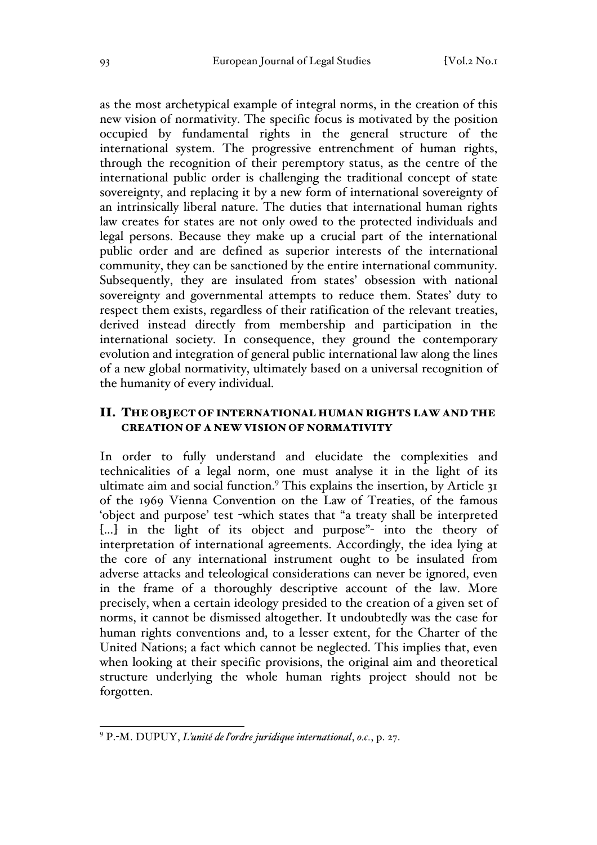as the most archetypical example of integral norms, in the creation of this new vision of normativity. The specific focus is motivated by the position occupied by fundamental rights in the general structure of the international system. The progressive entrenchment of human rights, through the recognition of their peremptory status, as the centre of the international public order is challenging the traditional concept of state sovereignty, and replacing it by a new form of international sovereignty of an intrinsically liberal nature. The duties that international human rights law creates for states are not only owed to the protected individuals and legal persons. Because they make up a crucial part of the international public order and are defined as superior interests of the international community, they can be sanctioned by the entire international community. Subsequently, they are insulated from states' obsession with national sovereignty and governmental attempts to reduce them. States' duty to respect them exists, regardless of their ratification of the relevant treaties, derived instead directly from membership and participation in the international society. In consequence, they ground the contemporary evolution and integration of general public international law along the lines of a new global normativity, ultimately based on a universal recognition of the humanity of every individual.

## II. THE OBJECT OF INTERNATIONAL HUMAN RIGHTS LAW AND THE CREATION OF A NEW VISION OF NORMATIVITY

In order to fully understand and elucidate the complexities and technicalities of a legal norm, one must analyse it in the light of its ultimate aim and social function.<sup>9</sup> This explains the insertion, by Article 31 of the 1969 Vienna Convention on the Law of Treaties, of the famous 'object and purpose' test -which states that "a treaty shall be interpreted [...] in the light of its object and purpose"- into the theory of interpretation of international agreements. Accordingly, the idea lying at the core of any international instrument ought to be insulated from adverse attacks and teleological considerations can never be ignored, even in the frame of a thoroughly descriptive account of the law. More precisely, when a certain ideology presided to the creation of a given set of norms, it cannot be dismissed altogether. It undoubtedly was the case for human rights conventions and, to a lesser extent, for the Charter of the United Nations; a fact which cannot be neglected. This implies that, even when looking at their specific provisions, the original aim and theoretical structure underlying the whole human rights project should not be forgotten.

 <sup>9</sup> P.-M. DUPUY, *L'unité de l'ordre juridique international*, *o.c.*, p. 27.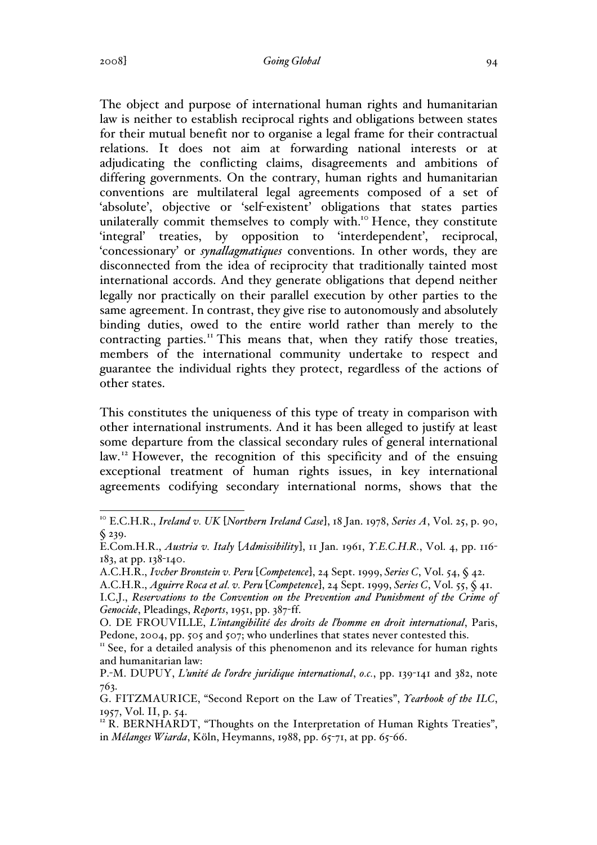The object and purpose of international human rights and humanitarian law is neither to establish reciprocal rights and obligations between states for their mutual benefit nor to organise a legal frame for their contractual relations. It does not aim at forwarding national interests or at adjudicating the conflicting claims, disagreements and ambitions of differing governments. On the contrary, human rights and humanitarian conventions are multilateral legal agreements composed of a set of 'absolute', objective or 'self-existent' obligations that states parties unilaterally commit themselves to comply with.<sup>10</sup> Hence, they constitute 'integral' treaties, by opposition to 'interdependent', reciprocal, 'concessionary' or *synallagmatiques* conventions. In other words, they are disconnected from the idea of reciprocity that traditionally tainted most international accords. And they generate obligations that depend neither legally nor practically on their parallel execution by other parties to the same agreement. In contrast, they give rise to autonomously and absolutely binding duties, owed to the entire world rather than merely to the contracting parties.<sup>11</sup> This means that, when they ratify those treaties, members of the international community undertake to respect and guarantee the individual rights they protect, regardless of the actions of other states.

This constitutes the uniqueness of this type of treaty in comparison with other international instruments. And it has been alleged to justify at least some departure from the classical secondary rules of general international law.<sup>12</sup> However, the recognition of this specificity and of the ensuing exceptional treatment of human rights issues, in key international agreements codifying secondary international norms, shows that the

 <sup>10</sup> E.C.H.R., *Ireland v. UK* [*Northern Ireland Case*], 18 Jan. 1978, *Series A*, Vol. 25, p. 90, § 239.

E.Com.H.R., *Austria v. Italy* [*Admissibility*], 11 Jan. 1961, *Y.E.C.H.R.*, Vol. 4, pp. 116- 183, at pp. 138-140.

A.C.H.R., *Ivcher Bronstein v. Peru* [*Competence*], 24 Sept. 1999, *Series C*, Vol. 54, § 42.

A.C.H.R., *Aguirre Roca et al. v. Peru* [*Competence*], 24 Sept. 1999, *Series C*, Vol. 55, § 41.

I.C.J., *Reservations to the Convention on the Prevention and Punishment of the Crime of Genocide*, Pleadings, *Reports*, 1951, pp. 387-ff.

O. DE FROUVILLE, *L'intangibilité des droits de l'homme en droit international*, Paris, Pedone, 2004, pp. 505 and 507; who underlines that states never contested this.<br><sup>11</sup> See, for a detailed analysis of this phenomenon and its relevance for human rights

and humanitarian law:

P.-M. DUPUY, *L'unité de l'ordre juridique international*, *o.c.*, pp. 139-141 and 382, note 763.

G. FITZMAURICE, "Second Report on the Law of Treaties", *Yearbook of the ILC*, 1957, Vol. II, p. 54.

<sup>&</sup>lt;sup>12</sup> R. BERNHARDT, "Thoughts on the Interpretation of Human Rights Treaties", in *Mélanges Wiarda*, Köln, Heymanns, 1988, pp. 65-71, at pp. 65-66.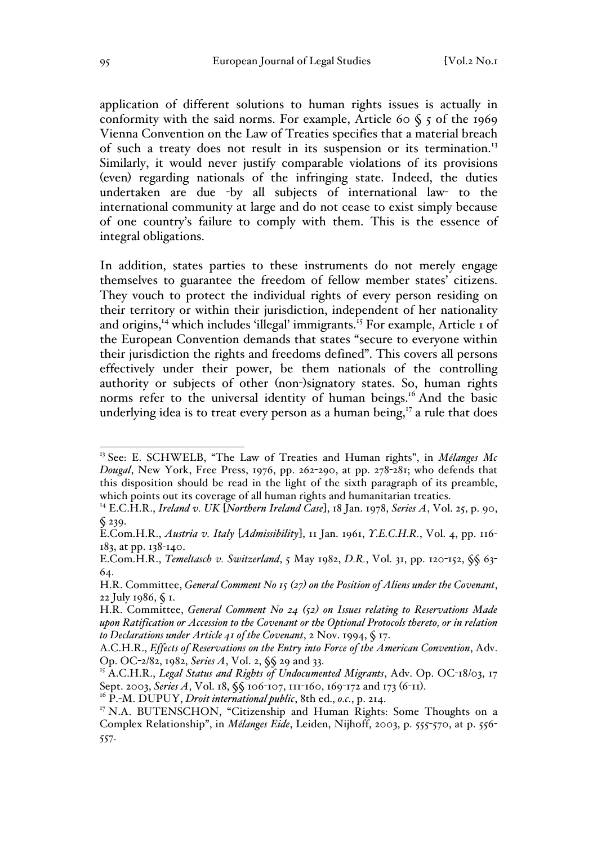application of different solutions to human rights issues is actually in conformity with the said norms. For example, Article 60  $\frac{6}{5}$  5 of the 1969 Vienna Convention on the Law of Treaties specifies that a material breach of such a treaty does not result in its suspension or its termination.<sup>13</sup> Similarly, it would never justify comparable violations of its provisions (even) regarding nationals of the infringing state. Indeed, the duties undertaken are due -by all subjects of international law- to the international community at large and do not cease to exist simply because of one country's failure to comply with them. This is the essence of integral obligations.

In addition, states parties to these instruments do not merely engage themselves to guarantee the freedom of fellow member states' citizens. They vouch to protect the individual rights of every person residing on their territory or within their jurisdiction, independent of her nationality and origins,<sup>14</sup> which includes 'illegal' immigrants.<sup>15</sup> For example, Article 1 of the European Convention demands that states "secure to everyone within their jurisdiction the rights and freedoms defined". This covers all persons effectively under their power, be them nationals of the controlling authority or subjects of other (non-)signatory states. So, human rights norms refer to the universal identity of human beings.<sup>16</sup> And the basic underlying idea is to treat every person as a human being, $^{17}$  a rule that does

 <sup>13</sup> See: E. SCHWELB, "The Law of Treaties and Human rights", in *Mélanges Mc Dougal*, New York, Free Press, 1976, pp. 262-290, at pp. 278-281; who defends that this disposition should be read in the light of the sixth paragraph of its preamble, which points out its coverage of all human rights and humanitarian treaties.

<sup>14</sup> E.C.H.R., *Ireland v. UK* [*Northern Ireland Case*], 18 Jan. 1978, *Series A*, Vol. 25, p. 90, § 239.

E.Com.H.R., *Austria v. Italy* [*Admissibility*], 11 Jan. 1961, *Y.E.C.H.R.*, Vol. 4, pp. 116- 183, at pp. 138-140.

E.Com.H.R., *Temeltasch v. Switzerland*, 5 May 1982, *D.R.*, Vol. 31, pp. 120-152, §§ 63- 64.

H.R. Committee, *General Comment No 15 (27) on the Position of Aliens under the Covenant*, 22 July 1986, § 1.

H.R. Committee, *General Comment No 24 (52) on Issues relating to Reservations Made upon Ratification or Accession to the Covenant or the Optional Protocols thereto, or in relation to Declarations under Article 41 of the Covenant*, 2 Nov. 1994, § 17.

A.C.H.R., *Effects of Reservations on the Entry into Force of the American Convention*, Adv. Op. OC-2/82, 1982, *Series A*, Vol. 2, §§ 29 and 33.

<sup>&</sup>lt;sup>15</sup> A.C.H.R., *Legal Status and Rights of Undocumented Migrants*, Adv. Op. OC-18/03, 17<br>Sept. 2003, *Series A*, Vol. 18, §§ 106-107, 111-160, 169-172 and 173 (6-11).

<sup>&</sup>lt;sup>16</sup> P.-M. DUPUY, *Droit international public*, 8th ed., *o.c.*, p. 214.

<sup>&</sup>lt;sup>17</sup> N.A. BUTENSCHON, "Citizenship and Human Rights: Some Thoughts on a Complex Relationship", in *Mélanges Eide*, Leiden, Nijhoff, 2003, p. 555-570, at p. 556- 557.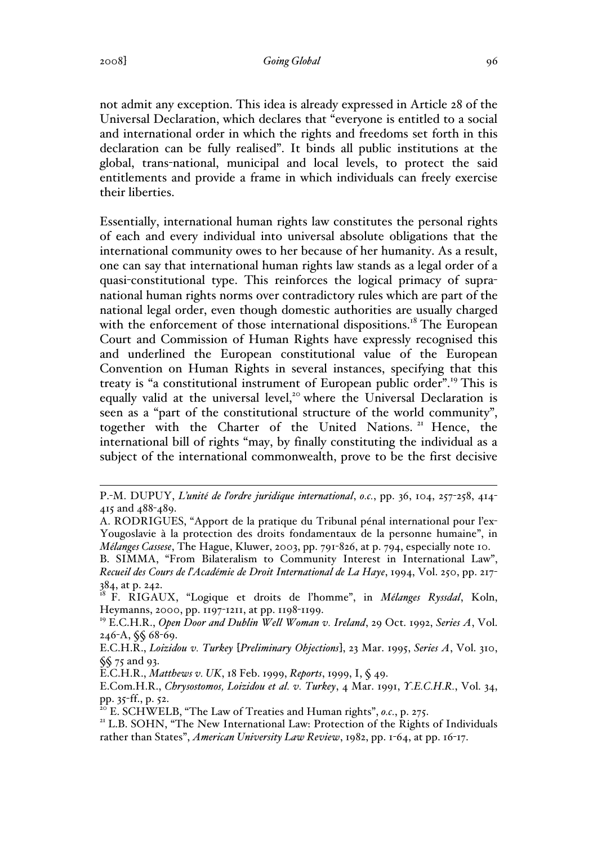not admit any exception. This idea is already expressed in Article 28 of the Universal Declaration, which declares that "everyone is entitled to a social and international order in which the rights and freedoms set forth in this declaration can be fully realised". It binds all public institutions at the global, trans-national, municipal and local levels, to protect the said entitlements and provide a frame in which individuals can freely exercise their liberties.

Essentially, international human rights law constitutes the personal rights of each and every individual into universal absolute obligations that the international community owes to her because of her humanity. As a result, one can say that international human rights law stands as a legal order of a quasi-constitutional type. This reinforces the logical primacy of supranational human rights norms over contradictory rules which are part of the national legal order, even though domestic authorities are usually charged with the enforcement of those international dispositions.<sup>18</sup> The European Court and Commission of Human Rights have expressly recognised this and underlined the European constitutional value of the European Convention on Human Rights in several instances, specifying that this treaty is "a constitutional instrument of European public order".<sup>19</sup> This is equally valid at the universal level,<sup>20</sup> where the Universal Declaration is seen as a "part of the constitutional structure of the world community", together with the Charter of the United Nations.<sup>21</sup> Hence, the international bill of rights "may, by finally constituting the individual as a subject of the international commonwealth, prove to be the first decisive

- A. RODRIGUES, "Apport de la pratique du Tribunal pénal international pour l'ex-Yougoslavie à la protection des droits fondamentaux de la personne humaine", in *Mélanges Cassese*, The Hague, Kluwer, 2003, pp. 791-826, at p. 794, especially note 10. B. SIMMA, "From Bilateralism to Community Interest in International Law",
- *Recueil des Cours de l'Académie de Droit International de La Haye*, 1994, Vol. 250, pp. 217- 384, at p. 242.

<sup>18</sup> F. RIGAUX, "Logique et droits de l'homme", in *Mélanges Ryssdal*, Koln, Heymanns, 2000, pp. 1197-1211, at pp. 1198-1199.

<sup>19</sup> E.C.H.R., *Open Door and Dublin Well Woman v. Ireland*, 29 Oct. 1992, *Series A*, Vol. 246-A, §§ 68-69.

E.C.H.R., *Loizidou v. Turkey* [*Preliminary Objections*], 23 Mar. 1995, *Series A*, Vol. 310, §§ 75 and 93.

E.C.H.R., *Matthews v. UK*, 18 Feb. 1999, *Reports*, 1999, I, § 49.

E.Com.H.R., *Chrysostomos, Loizidou et al. v. Turkey*, 4 Mar. 1991, *Y.E.C.H.R.*, Vol. 34, pp. 35-ff., p. 52.<br><sup>20</sup> E. SCHWELB, "The Law of Treaties and Human rights", *o.c*., p. 275.<br><sup>21</sup> L.B. SOHN, "The New International Law: Protection of the Rights of Individuals

rather than States", *American University Law Review*, 1982, pp. 1-64, at pp. 16-17.

P.-M. DUPUY, *L'unité de l'ordre juridique international*, *o.c.*, pp. 36, 104, 257-258, 414- 415 and 488-489.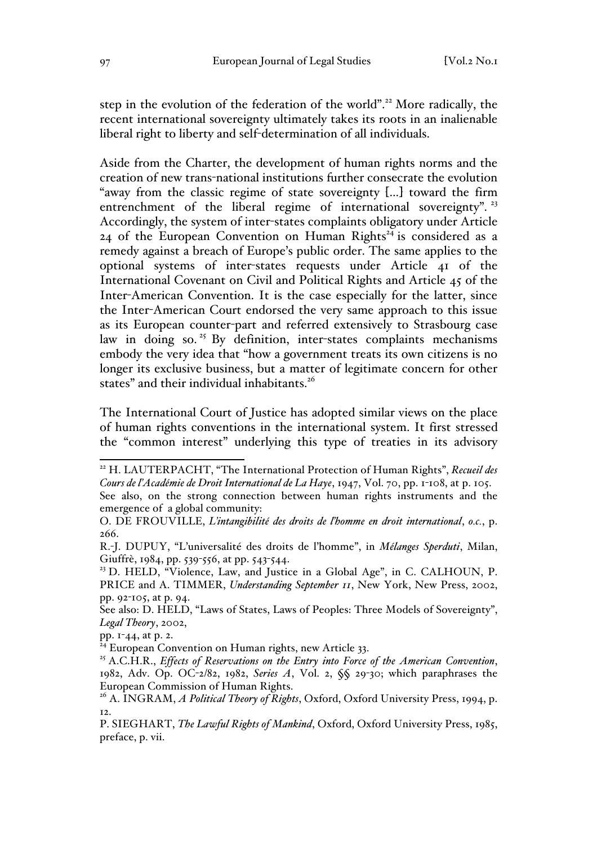step in the evolution of the federation of the world".<sup>22</sup> More radically, the recent international sovereignty ultimately takes its roots in an inalienable liberal right to liberty and self-determination of all individuals.

Aside from the Charter, the development of human rights norms and the creation of new trans-national institutions further consecrate the evolution "away from the classic regime of state sovereignty […] toward the firm entrenchment of the liberal regime of international sovereignty". <sup>23</sup> Accordingly, the system of inter-states complaints obligatory under Article  $24$  of the European Convention on Human Rights<sup>24</sup> is considered as a remedy against a breach of Europe's public order. The same applies to the optional systems of inter-states requests under Article 41 of the International Covenant on Civil and Political Rights and Article 45 of the Inter-American Convention. It is the case especially for the latter, since the Inter-American Court endorsed the very same approach to this issue as its European counter-part and referred extensively to Strasbourg case law in doing so.<sup>25</sup> By definition, inter-states complaints mechanisms embody the very idea that "how a government treats its own citizens is no longer its exclusive business, but a matter of legitimate concern for other states" and their individual inhabitants.<sup>26</sup>

The International Court of Justice has adopted similar views on the place of human rights conventions in the international system. It first stressed the "common interest" underlying this type of treaties in its advisory

<sup>&</sup>lt;sup>22</sup> H. LAUTERPACHT, "The International Protection of Human Rights", Recueil des *Cours de l'Académie de Droit International de La Haye*, 1947, Vol. 70, pp. 1-108, at p. 105. See also, on the strong connection between human rights instruments and the emergence of a global community:

O. DE FROUVILLE, *L'intangibilité des droits de l'homme en droit international*, *o.c.*, p. 266.

R.-J. DUPUY, "L'universalité des droits de l'homme", in *Mélanges Sperduti*, Milan, Giuffrè, 1984, pp. 539-556, at pp. 543-544.

<sup>&</sup>lt;sup>23</sup> D. HELD, "Violence, Law, and Justice in a Global Age", in C. CALHOUN, P. PRICE and A. TIMMER, *Understanding September 11*, New York, New Press, 2002, pp. 92-105, at p. 94.

See also: D. HELD, "Laws of States, Laws of Peoples: Three Models of Sovereignty", *Legal Theory*, 2002,

pp. 1-44, at p. 2.

PP<sup>1</sup> + 44, at P<sub>1</sub> = 1.<br><sup>24</sup> European Convention on Human rights, new Article 33.

<sup>25</sup> A.C.H.R., *Effects of Reservations on the Entry into Force of the American Convention*, 1982, Adv. Op. OC-2/82, 1982, *Series A*, Vol. 2, §§ 29-30; which paraphrases the European Commission of Human Rights.

<sup>&</sup>lt;sup>26</sup> A. INGRAM, *A Political Theory of Rights*, Oxford, Oxford University Press, 1994, p. 12.

P. SIEGHART, *The Lawful Rights of Mankind*, Oxford, Oxford University Press, 1985, preface, p. vii.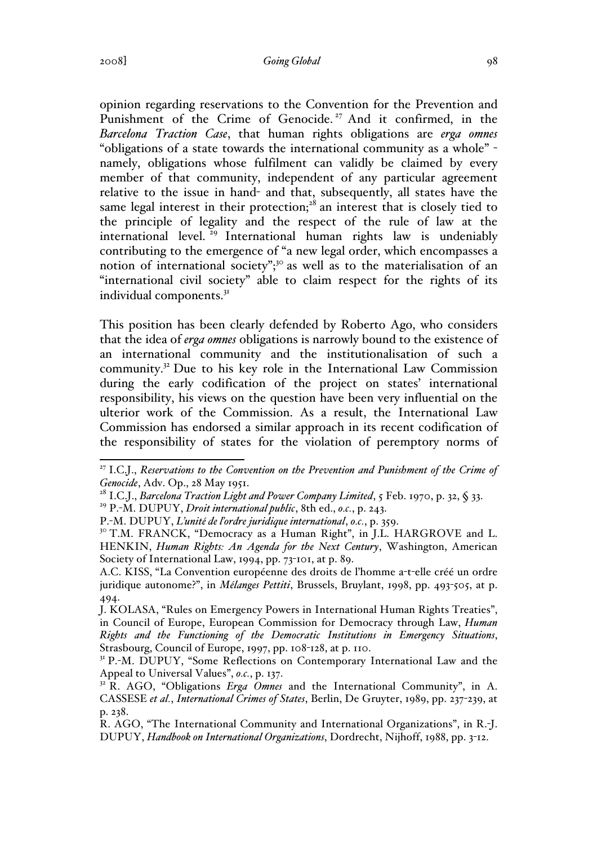opinion regarding reservations to the Convention for the Prevention and Punishment of the Crime of Genocide.<sup>27</sup> And it confirmed, in the *Barcelona Traction Case*, that human rights obligations are *erga omnes* "obligations of a state towards the international community as a whole" namely, obligations whose fulfilment can validly be claimed by every member of that community, independent of any particular agreement relative to the issue in hand- and that, subsequently, all states have the same legal interest in their protection;<sup>28</sup> an interest that is closely tied to the principle of legality and the respect of the rule of law at the international level.<sup>29</sup> International human rights law is undeniably contributing to the emergence of "a new legal order, which encompasses a notion of international society";<sup>30</sup> as well as to the materialisation of an "international civil society" able to claim respect for the rights of its individual components.<sup>31</sup>

This position has been clearly defended by Roberto Ago, who considers that the idea of *erga omnes* obligations is narrowly bound to the existence of an international community and the institutionalisation of such a community.32 Due to his key role in the International Law Commission during the early codification of the project on states' international responsibility, his views on the question have been very influential on the ulterior work of the Commission. As a result, the International Law Commission has endorsed a similar approach in its recent codification of the responsibility of states for the violation of peremptory norms of

 <sup>27</sup> I.C.J., *Reservations to the Convention on the Prevention and Punishment of the Crime of* 

*Genocide*, Adv. Op., 28 May 1951. <sup>28</sup> I.C.J., *Barcelona Traction Light and Power Company Limited*, 5 Feb. 1970, p. 32, § 33.

<sup>29</sup> P.-M. DUPUY, *Droit international public*, 8th ed., *o.c.*, p. 243.

P.-M. DUPUY, *L'unité de l'ordre juridique international*, *o.c.*, p. 359.

<sup>&</sup>lt;sup>30</sup> T.M. FRANCK, "Democracy as a Human Right", in J.L. HARGROVE and L. HENKIN, *Human Rights: An Agenda for the Next Century*, Washington, American Society of International Law, 1994, pp. 73-101, at p. 89.

A.C. KISS, "La Convention européenne des droits de l'homme a-t-elle créé un ordre juridique autonome?", in *Mélanges Pettiti*, Brussels, Bruylant, 1998, pp. 493-505, at p. 494.

J. KOLASA, "Rules on Emergency Powers in International Human Rights Treaties", in Council of Europe, European Commission for Democracy through Law, *Human Rights and the Functioning of the Democratic Institutions in Emergency Situations*, Strasbourg, Council of Europe, 1997, pp. 108-128, at p. 110.

<sup>&</sup>lt;sup>31</sup> P.-M. DUPUY, "Some Reflections on Contemporary International Law and the Appeal to Universal Values", *o.c.*, p. 137.

<sup>&</sup>lt;sup>32</sup> R. AGO, "Obligations *Erga Omnes* and the International Community", in A. CASSESE *et al.*, *International Crimes of States*, Berlin, De Gruyter, 1989, pp. 237-239, at p. 238.

R. AGO, "The International Community and International Organizations", in R.-J. DUPUY, *Handbook on International Organizations*, Dordrecht, Nijhoff, 1988, pp. 3-12.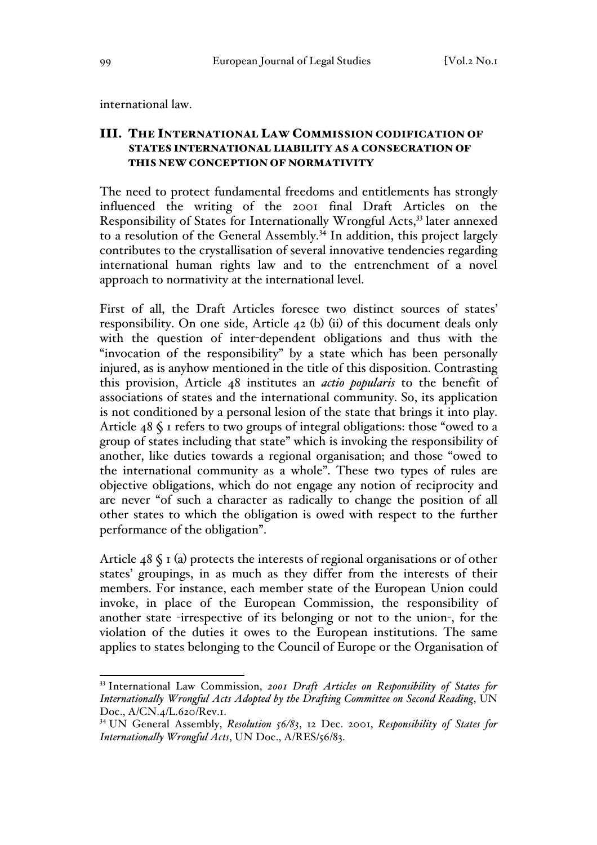international law.

# III. THE INTERNATIONAL LAW COMMISSION CODIFICATION OF STATES INTERNATIONAL LIABILITY AS A CONSECRATION OF THIS NEW CONCEPTION OF NORMATIVITY

The need to protect fundamental freedoms and entitlements has strongly influenced the writing of the 2001 final Draft Articles on the Responsibility of States for Internationally Wrongful Acts,<sup>33</sup> later annexed to a resolution of the General Assembly.<sup>34</sup> In addition, this project largely contributes to the crystallisation of several innovative tendencies regarding international human rights law and to the entrenchment of a novel approach to normativity at the international level.

First of all, the Draft Articles foresee two distinct sources of states' responsibility. On one side, Article 42 (b) (ii) of this document deals only with the question of inter-dependent obligations and thus with the "invocation of the responsibility" by a state which has been personally injured, as is anyhow mentioned in the title of this disposition. Contrasting this provision, Article 48 institutes an *actio popularis* to the benefit of associations of states and the international community. So, its application is not conditioned by a personal lesion of the state that brings it into play. Article 48 § 1 refers to two groups of integral obligations: those "owed to a group of states including that state" which is invoking the responsibility of another, like duties towards a regional organisation; and those "owed to the international community as a whole". These two types of rules are objective obligations, which do not engage any notion of reciprocity and are never "of such a character as radically to change the position of all other states to which the obligation is owed with respect to the further performance of the obligation".

Article 48 § 1 (a) protects the interests of regional organisations or of other states' groupings, in as much as they differ from the interests of their members. For instance, each member state of the European Union could invoke, in place of the European Commission, the responsibility of another state -irrespective of its belonging or not to the union-, for the violation of the duties it owes to the European institutions. The same applies to states belonging to the Council of Europe or the Organisation of

 <sup>33</sup> International Law Commission, *2001 Draft Articles on Responsibility of States for Internationally Wrongful Acts Adopted by the Drafting Committee on Second Reading*, UN Doc., A/CN.4/L.620/Rev.1.

<sup>34</sup> UN General Assembly, *Resolution 56/83*, 12 Dec. 2001, *Responsibility of States for Internationally Wrongful Acts*, UN Doc., A/RES/56/83.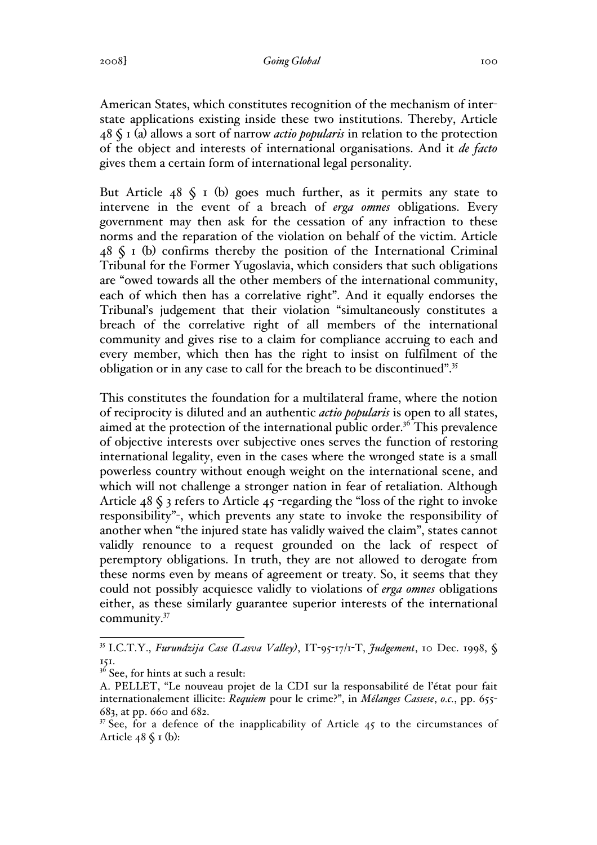American States, which constitutes recognition of the mechanism of interstate applications existing inside these two institutions. Thereby, Article 48 § 1 (a) allows a sort of narrow *actio popularis* in relation to the protection of the object and interests of international organisations. And it *de facto* gives them a certain form of international legal personality.

But Article  $48 \xi$  I (b) goes much further, as it permits any state to intervene in the event of a breach of *erga omnes* obligations. Every government may then ask for the cessation of any infraction to these norms and the reparation of the violation on behalf of the victim. Article  $48 \text{ }\frac{\ }{2}$  1 (b) confirms thereby the position of the International Criminal Tribunal for the Former Yugoslavia, which considers that such obligations are "owed towards all the other members of the international community, each of which then has a correlative right". And it equally endorses the Tribunal's judgement that their violation "simultaneously constitutes a breach of the correlative right of all members of the international community and gives rise to a claim for compliance accruing to each and every member, which then has the right to insist on fulfilment of the obligation or in any case to call for the breach to be discontinued".<sup>35</sup>

This constitutes the foundation for a multilateral frame, where the notion of reciprocity is diluted and an authentic *actio popularis* is open to all states, aimed at the protection of the international public order.<sup>36</sup> This prevalence of objective interests over subjective ones serves the function of restoring international legality, even in the cases where the wronged state is a small powerless country without enough weight on the international scene, and which will not challenge a stronger nation in fear of retaliation. Although Article 48 § 3 refers to Article 45 -regarding the "loss of the right to invoke responsibility"-, which prevents any state to invoke the responsibility of another when "the injured state has validly waived the claim", states cannot validly renounce to a request grounded on the lack of respect of peremptory obligations. In truth, they are not allowed to derogate from these norms even by means of agreement or treaty. So, it seems that they could not possibly acquiesce validly to violations of *erga omnes* obligations either, as these similarly guarantee superior interests of the international community.37

 <sup>35</sup> I.C.T.Y., *Furundzija Case (Lasva Valley)*, IT-95-17/1-T, *Judgement*, 10 Dec. 1998, § 151.

<sup>&</sup>lt;sup>36</sup> See, for hints at such a result:

A. PELLET, "Le nouveau projet de la CDI sur la responsabilité de l'état pour fait internationalement illicite: *Requiem* pour le crime?", in *Mélanges Cassese*, *o.c.*, pp. 655- 683, at pp. 660 and 682.

 $37$  See, for a defence of the inapplicability of Article 45 to the circumstances of Article  $48 \xi$  I (b):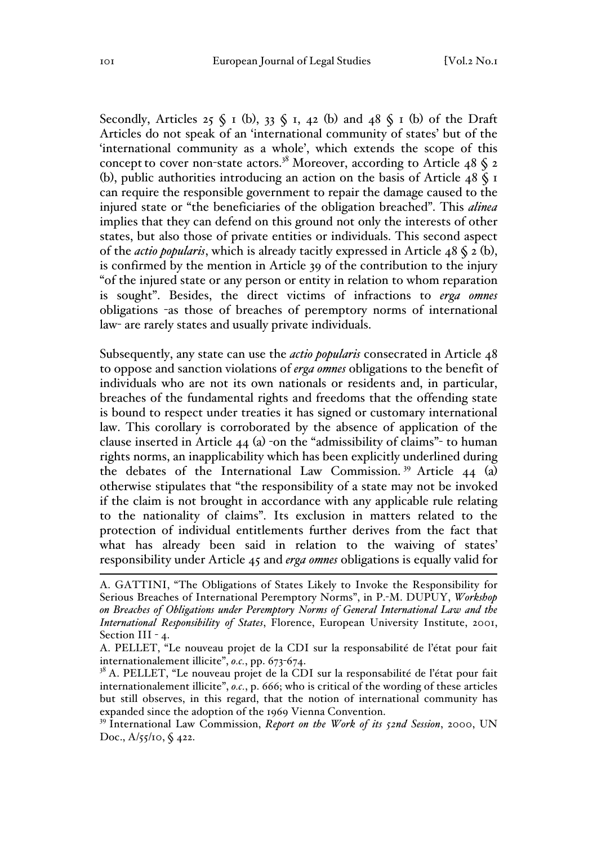Secondly, Articles 25  $\oint I$  (b), 33  $\oint I$ , 42 (b) and 48  $\oint I$  (b) of the Draft Articles do not speak of an 'international community of states' but of the 'international community as a whole', which extends the scope of this concept to cover non-state actors.<sup>38</sup> Moreover, according to Article 48  $\zeta$  2 (b), public authorities introducing an action on the basis of Article  $48\bar{S}$  I can require the responsible government to repair the damage caused to the injured state or "the beneficiaries of the obligation breached". This *alinea* implies that they can defend on this ground not only the interests of other states, but also those of private entities or individuals. This second aspect of the *actio popularis*, which is already tacitly expressed in Article 48 § 2 (b), is confirmed by the mention in Article 39 of the contribution to the injury "of the injured state or any person or entity in relation to whom reparation is sought". Besides, the direct victims of infractions to *erga omnes* obligations -as those of breaches of peremptory norms of international law- are rarely states and usually private individuals.

Subsequently, any state can use the *actio popularis* consecrated in Article 48 to oppose and sanction violations of *erga omnes* obligations to the benefit of individuals who are not its own nationals or residents and, in particular, breaches of the fundamental rights and freedoms that the offending state is bound to respect under treaties it has signed or customary international law. This corollary is corroborated by the absence of application of the clause inserted in Article 44 (a) -on the "admissibility of claims"- to human rights norms, an inapplicability which has been explicitly underlined during the debates of the International Law Commission.<sup>39</sup> Article  $44$  (a) otherwise stipulates that "the responsibility of a state may not be invoked if the claim is not brought in accordance with any applicable rule relating to the nationality of claims". Its exclusion in matters related to the protection of individual entitlements further derives from the fact that what has already been said in relation to the waiving of states' responsibility under Article 45 and *erga omnes* obligations is equally valid for

A. GATTINI, "The Obligations of States Likely to Invoke the Responsibility for Serious Breaches of International Peremptory Norms", in P.-M. DUPUY, *Workshop on Breaches of Obligations under Peremptory Norms of General International Law and the International Responsibility of States*, Florence, European University Institute, 2001, Section III - 4.

A. PELLET, "Le nouveau projet de la CDI sur la responsabilité de l'état pour fait internationalement illicite", *o.c.*, pp. 673-674.

<sup>&</sup>lt;sup>38</sup> A. PELLET, "Le nouveau projet de la CDI sur la responsabilité de l'état pour fait internationalement illicite", *o.c.*, p. 666; who is critical of the wording of these articles but still observes, in this regard, that the notion of international community has expanded since the adoption of the 1969 Vienna Convention.

<sup>39</sup> International Law Commission, *Report on the Work of its 52nd Session*, 2000, UN Doc., A/55/10, § 422.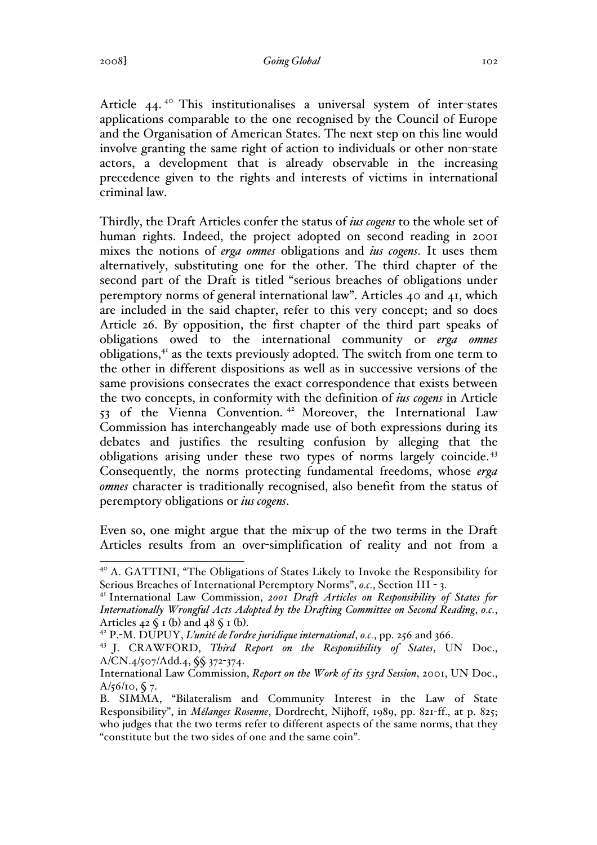Article 44. <sup>40</sup> This institutionalises a universal system of inter-states applications comparable to the one recognised by the Council of Europe and the Organisation of American States. The next step on this line would involve granting the same right of action to individuals or other non-state actors, a development that is already observable in the increasing precedence given to the rights and interests of victims in international criminal law.

Thirdly, the Draft Articles confer the status of *ius cogens* to the whole set of human rights. Indeed, the project adopted on second reading in 2001 mixes the notions of *erga omnes* obligations and *ius cogens*. It uses them alternatively, substituting one for the other. The third chapter of the second part of the Draft is titled "serious breaches of obligations under peremptory norms of general international law". Articles 40 and 41, which are included in the said chapter, refer to this very concept; and so does Article 26. By opposition, the first chapter of the third part speaks of obligations owed to the international community or *erga omnes* obligations,41 as the texts previously adopted. The switch from one term to the other in different dispositions as well as in successive versions of the same provisions consecrates the exact correspondence that exists between the two concepts, in conformity with the definition of *ius cogens* in Article 53 of the Vienna Convention. <sup>42</sup> Moreover, the International Law Commission has interchangeably made use of both expressions during its debates and justifies the resulting confusion by alleging that the obligations arising under these two types of norms largely coincide.<sup>43</sup> Consequently, the norms protecting fundamental freedoms, whose *erga omnes* character is traditionally recognised, also benefit from the status of peremptory obligations or *ius cogens*.

Even so, one might argue that the mix-up of the two terms in the Draft Articles results from an over-simplification of reality and not from a

<sup>&</sup>lt;sup>40</sup> A. GATTINI, "The Obligations of States Likely to Invoke the Responsibility for Serious Breaches of International Peremptory Norms", *o.c.*, Section III - 3.

<sup>&</sup>lt;sup>41</sup> International Law Commission, 2001 Draft Articles on Responsibility of States for *Internationally Wrongful Acts Adopted by the Drafting Committee on Second Reading*, *o.c.*, Articles 42  $\Diamond$  I (b) and 48  $\Diamond$  I (b).

<sup>&</sup>lt;sup>42</sup> P.-M. DUPUY, *L'unité de l'ordre juridique international*, *o.c.*, pp. 256 and 366.

<sup>43</sup> J. CRAWFORD, *Third Report on the Responsibility of States*, UN Doc., A/CN.4/507/Add.4, §§ 372-374.

International Law Commission, *Report on the Work of its 53rd Session*, 2001, UN Doc.,  $A/56/10, \, \xi$  7.

B. SIMMA, "Bilateralism and Community Interest in the Law of State Responsibility", in *Mélanges Rosenne*, Dordrecht, Nijhoff, 1989, pp. 821-ff., at p. 825; who judges that the two terms refer to different aspects of the same norms, that they "constitute but the two sides of one and the same coin".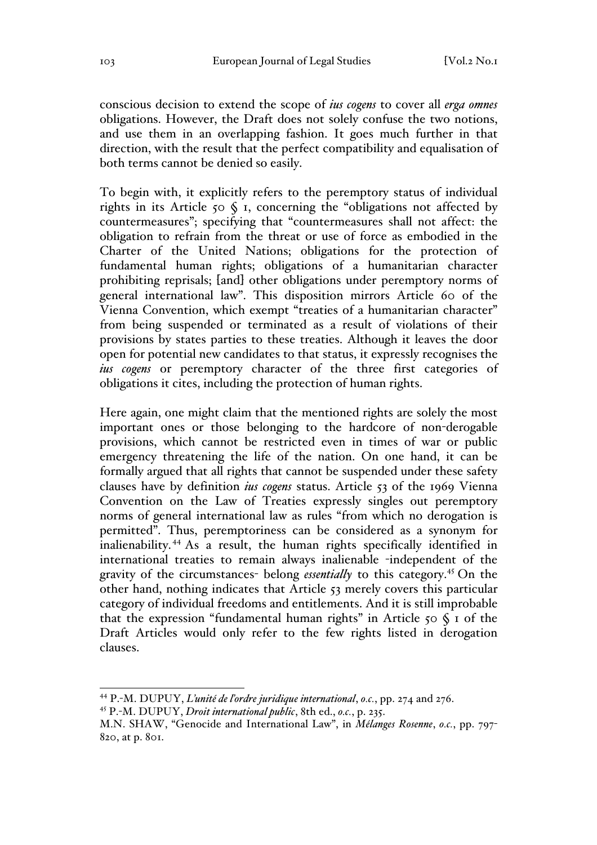conscious decision to extend the scope of *ius cogens* to cover all *erga omnes* obligations. However, the Draft does not solely confuse the two notions, and use them in an overlapping fashion. It goes much further in that direction, with the result that the perfect compatibility and equalisation of both terms cannot be denied so easily.

To begin with, it explicitly refers to the peremptory status of individual rights in its Article 50  $\zeta$  I, concerning the "obligations not affected by countermeasures"; specifying that "countermeasures shall not affect: the obligation to refrain from the threat or use of force as embodied in the Charter of the United Nations; obligations for the protection of fundamental human rights; obligations of a humanitarian character prohibiting reprisals; [and] other obligations under peremptory norms of general international law". This disposition mirrors Article 60 of the Vienna Convention, which exempt "treaties of a humanitarian character" from being suspended or terminated as a result of violations of their provisions by states parties to these treaties. Although it leaves the door open for potential new candidates to that status, it expressly recognises the *ius cogens* or peremptory character of the three first categories of obligations it cites, including the protection of human rights.

Here again, one might claim that the mentioned rights are solely the most important ones or those belonging to the hardcore of non-derogable provisions, which cannot be restricted even in times of war or public emergency threatening the life of the nation. On one hand, it can be formally argued that all rights that cannot be suspended under these safety clauses have by definition *ius cogens* status. Article 53 of the 1969 Vienna Convention on the Law of Treaties expressly singles out peremptory norms of general international law as rules "from which no derogation is permitted". Thus, peremptoriness can be considered as a synonym for inalienability. <sup>44</sup> As a result, the human rights specifically identified in international treaties to remain always inalienable -independent of the gravity of the circumstances- belong *essentially* to this category.45 On the other hand, nothing indicates that Article 53 merely covers this particular category of individual freedoms and entitlements. And it is still improbable that the expression "fundamental human rights" in Article 50  $\Diamond$  1 of the Draft Articles would only refer to the few rights listed in derogation clauses.

 <sup>44</sup> P.-M. DUPUY, *L'unité de l'ordre juridique international*, *o.c.*, pp. 274 and 276.

<sup>45</sup> P.-M. DUPUY, *Droit international public*, 8th ed., *o.c.*, p. 235.

M.N. SHAW, "Genocide and International Law", in *Mélanges Rosenne*, *o.c.*, pp. 797- 820, at p. 801.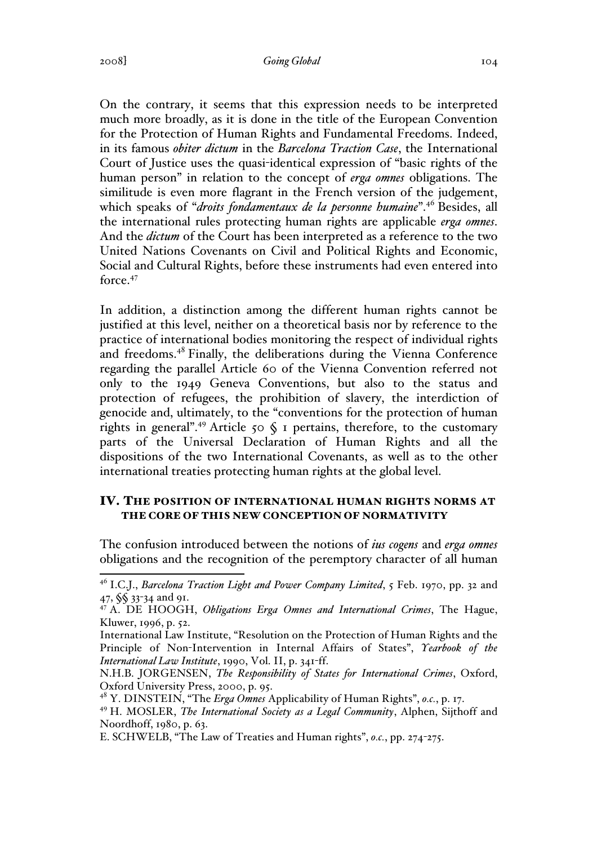On the contrary, it seems that this expression needs to be interpreted much more broadly, as it is done in the title of the European Convention for the Protection of Human Rights and Fundamental Freedoms. Indeed, in its famous *obiter dictum* in the *Barcelona Traction Case*, the International Court of Justice uses the quasi-identical expression of "basic rights of the human person" in relation to the concept of *erga omnes* obligations. The similitude is even more flagrant in the French version of the judgement, which speaks of "*droits fondamentaux de la personne humaine*".46 Besides, all the international rules protecting human rights are applicable *erga omnes*. And the *dictum* of the Court has been interpreted as a reference to the two United Nations Covenants on Civil and Political Rights and Economic, Social and Cultural Rights, before these instruments had even entered into force.<sup>47</sup>

In addition, a distinction among the different human rights cannot be justified at this level, neither on a theoretical basis nor by reference to the practice of international bodies monitoring the respect of individual rights and freedoms.<sup>48</sup> Finally, the deliberations during the Vienna Conference regarding the parallel Article 60 of the Vienna Convention referred not only to the 1949 Geneva Conventions, but also to the status and protection of refugees, the prohibition of slavery, the interdiction of genocide and, ultimately, to the "conventions for the protection of human rights in general".<sup>49</sup> Article 50  $\Diamond$  1 pertains, therefore, to the customary parts of the Universal Declaration of Human Rights and all the dispositions of the two International Covenants, as well as to the other international treaties protecting human rights at the global level.

### IV. THE POSITION OF INTERNATIONAL HUMAN RIGHTS NORMS AT THE CORE OF THIS NEW CONCEPTION OF NORMATIVITY

The confusion introduced between the notions of *ius cogens* and *erga omnes* obligations and the recognition of the peremptory character of all human

<sup>&</sup>lt;sup>46</sup> I.C.J., *Barcelona Traction Light and Power Company Limited*, 5 Feb. 1970, pp. 32 and 47, §§ 33-34 and 91.

<sup>47</sup> A. DE HOOGH, *Obligations Erga Omnes and International Crimes*, The Hague, Kluwer, 1996, p. 52.

International Law Institute, "Resolution on the Protection of Human Rights and the Principle of Non-Intervention in Internal Affairs of States", *Yearbook of the International Law Institute*, 1990, Vol. II, p. 341-ff.

N.H.B. JORGENSEN, *The Responsibility of States for International Crimes*, Oxford, Oxford University Press, 2000, p. 95.

<sup>48</sup> Y. DINSTEIN, "The *Erga Omnes* Applicability of Human Rights", *o.c.*, p. 17.

<sup>49</sup> H. MOSLER, *The International Society as a Legal Community*, Alphen, Sijthoff and Noordhoff, 1980, p. 63.

E. SCHWELB, "The Law of Treaties and Human rights", *o.c.*, pp. 274-275.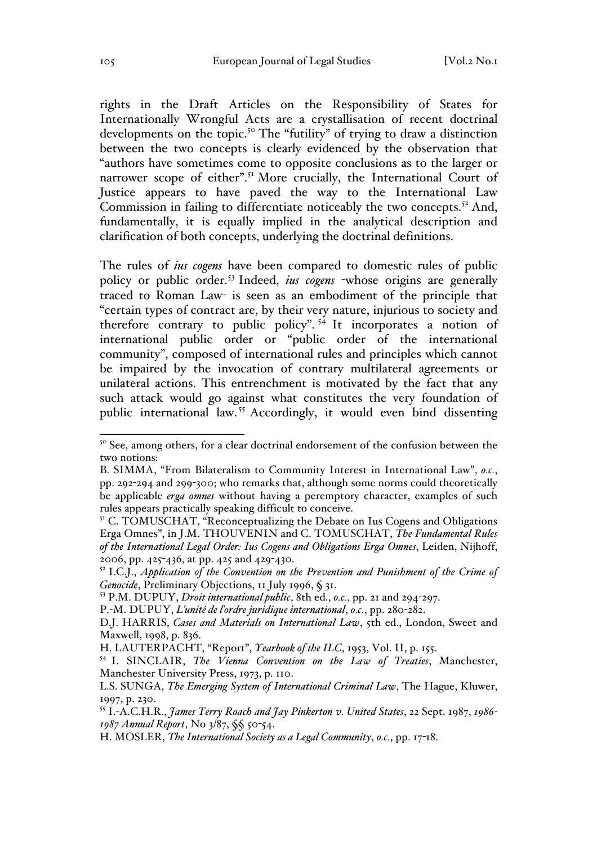rights in the Draft Articles on the Responsibility of States for Internationally Wrongful Acts are a crystallisation of recent doctrinal developments on the topic.<sup>50</sup> The "futility" of trying to draw a distinction between the two concepts is clearly evidenced by the observation that "authors have sometimes come to opposite conclusions as to the larger or narrower scope of either".<sup>51</sup> More crucially, the International Court of Justice appears to have paved the way to the International Law Commission in failing to differentiate noticeably the two concepts.<sup>52</sup> And, fundamentally, it is equally implied in the analytical description and clarification of both concepts, underlying the doctrinal definitions.

The rules of *ius cogens* have been compared to domestic rules of public policy or public order.<sup>53</sup> Indeed, *ius cogens* -whose origins are generally traced to Roman Law- is seen as an embodiment of the principle that "certain types of contract are, by their very nature, injurious to society and therefore contrary to public policy".<sup>54</sup> It incorporates a notion of international public order or "public order of the international community", composed of international rules and principles which cannot be impaired by the invocation of contrary multilateral agreements or unilateral actions. This entrenchment is motivated by the fact that any such attack would go against what constitutes the very foundation of public international law. <sup>55</sup> Accordingly, it would even bind dissenting

<sup>&</sup>lt;sup>50</sup> See, among others, for a clear doctrinal endorsement of the confusion between the two notions:

B. SIMMA, "From Bilateralism to Community Interest in International Law", *o.c.*, pp. 292-294 and 299-300; who remarks that, although some norms could theoretically be applicable *erga omnes* without having a peremptory character, examples of such rules appears practically speaking difficult to conceive.

<sup>&</sup>lt;sup>51</sup> C. TOMUSCHAT, "Reconceptualizing the Debate on Ius Cogens and Obligations Erga Omnes", in J.M. THOUVENIN and C. TOMUSCHAT, *The Fundamental Rules of the International Legal Order: Ius Cogens and Obligations Erga Omnes*, Leiden, Nijhoff, 2006, pp. 425-436, at pp. 425 and 429-430.

<sup>52</sup> I.C.J., *Application of the Convention on the Prevention and Punishment of the Crime of Genocide*, Preliminary Objections, 11 July 1996, § 31.

<sup>53</sup> P.M. DUPUY, *Droit international public*, 8th ed., *o.c.*, pp. 21 and 294-297.

P.-M. DUPUY, *L'unité de l'ordre juridique international*, *o.c.*, pp. 280-282.

D.J. HARRIS, *Cases and Materials on International Law*, 5th ed., London, Sweet and Maxwell, 1998, p. 836.

H. LAUTERPACHT, "Report", *Yearbook of the ILC*, 1953, Vol. II, p. 155.

<sup>54</sup> I. SINCLAIR, *The Vienna Convention on the Law of Treaties*, Manchester, Manchester University Press, 1973, p. 110.

L.S. SUNGA, *The Emerging System of International Criminal Law*, The Hague, Kluwer, 1997, p. 230.

<sup>55</sup> I.-A.C.H.R., *James Terry Roach and Jay Pinkerton v. United States*, 22 Sept. 1987, *1986- 1987 Annual Report*, No 3/87, §§ 50-54.

H. MOSLER, *The International Society as a Legal Community*, *o.c.*, pp. 17-18.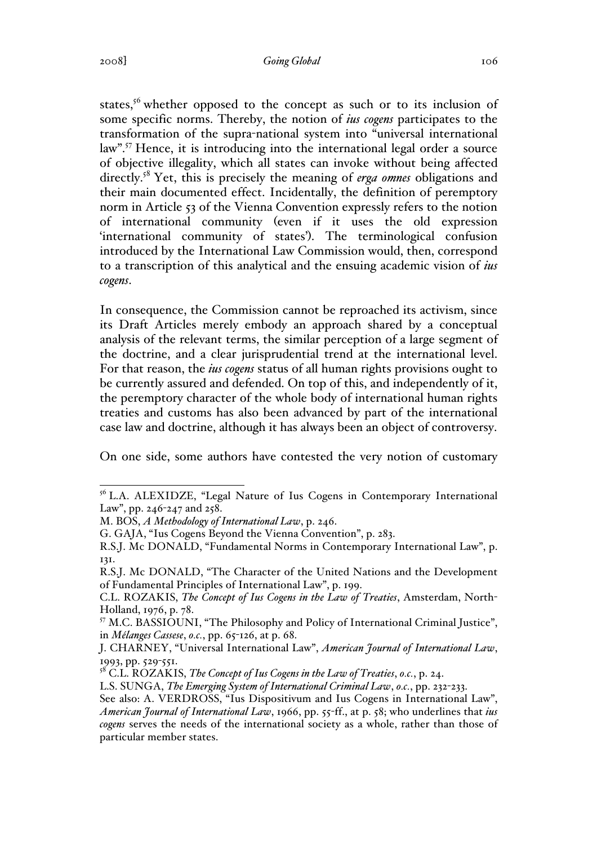states,<sup>56</sup> whether opposed to the concept as such or to its inclusion of some specific norms. Thereby, the notion of *ius cogens* participates to the transformation of the supra-national system into "universal international law".57 Hence, it is introducing into the international legal order a source of objective illegality, which all states can invoke without being affected directly.58 Yet, this is precisely the meaning of *erga omnes* obligations and their main documented effect. Incidentally, the definition of peremptory norm in Article 53 of the Vienna Convention expressly refers to the notion of international community (even if it uses the old expression 'international community of states'). The terminological confusion introduced by the International Law Commission would, then, correspond to a transcription of this analytical and the ensuing academic vision of *ius cogens*.

In consequence, the Commission cannot be reproached its activism, since its Draft Articles merely embody an approach shared by a conceptual analysis of the relevant terms, the similar perception of a large segment of the doctrine, and a clear jurisprudential trend at the international level. For that reason, the *ius cogens* status of all human rights provisions ought to be currently assured and defended. On top of this, and independently of it, the peremptory character of the whole body of international human rights treaties and customs has also been advanced by part of the international case law and doctrine, although it has always been an object of controversy.

On one side, some authors have contested the very notion of customary

<sup>&</sup>lt;sup>56</sup> L.A. ALEXIDZE, "Legal Nature of Ius Cogens in Contemporary International Law", pp. 246-247 and 258.

M. BOS, *A Methodology of International Law*, p. 246.

G. GAJA, "Ius Cogens Beyond the Vienna Convention", p. 283.

R.S.J. Mc DONALD, "Fundamental Norms in Contemporary International Law", p. 131.

R.S.J. Mc DONALD, "The Character of the United Nations and the Development of Fundamental Principles of International Law", p. 199.

C.L. ROZAKIS, *The Concept of Ius Cogens in the Law of Treaties*, Amsterdam, North-Holland, 1976, p. 78.

<sup>57</sup> M.C. BASSIOUNI, "The Philosophy and Policy of International Criminal Justice", in *Mélanges Cassese*, *o.c.*, pp. 65-126, at p. 68.

J. CHARNEY, "Universal International Law", *American Journal of International Law*,

<sup>1993,</sup> pp. 529-551. <sup>58</sup> C.L. ROZAKIS, *The Concept of Ius Cogens in the Law of Treaties*, *o.c.*, p. 24.

L.S. SUNGA, *The Emerging System of International Criminal Law*, *o.c.*, pp. 232-233.

See also: A. VERDROSS, "Ius Dispositivum and Ius Cogens in International Law", *American Journal of International Law*, 1966, pp. 55-ff., at p. 58; who underlines that *ius cogens* serves the needs of the international society as a whole, rather than those of particular member states.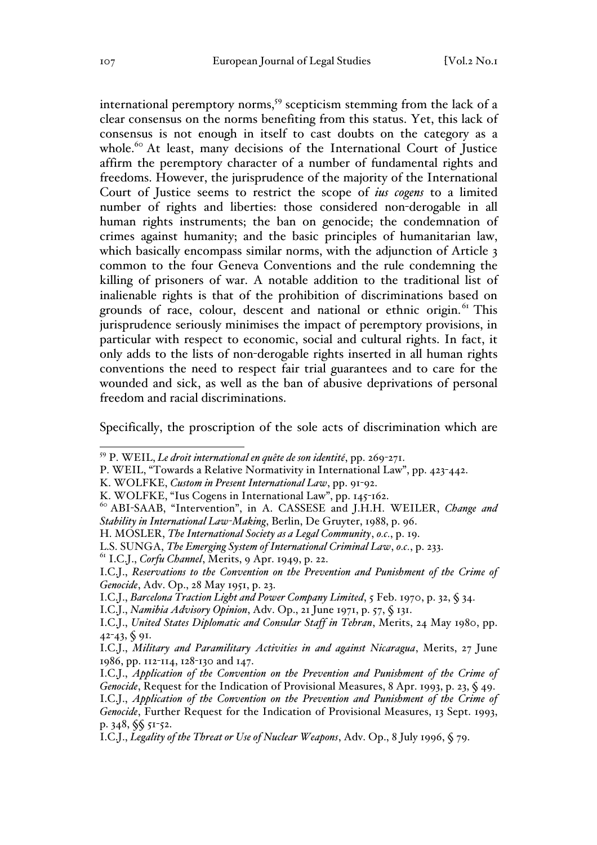international peremptory norms,<sup>59</sup> scepticism stemming from the lack of a clear consensus on the norms benefiting from this status. Yet, this lack of consensus is not enough in itself to cast doubts on the category as a whole.<sup>60</sup> At least, many decisions of the International Court of Justice affirm the peremptory character of a number of fundamental rights and freedoms. However, the jurisprudence of the majority of the International Court of Justice seems to restrict the scope of *ius cogens* to a limited number of rights and liberties: those considered non-derogable in all human rights instruments; the ban on genocide; the condemnation of crimes against humanity; and the basic principles of humanitarian law, which basically encompass similar norms, with the adjunction of Article 3 common to the four Geneva Conventions and the rule condemning the killing of prisoners of war. A notable addition to the traditional list of inalienable rights is that of the prohibition of discriminations based on grounds of race, colour, descent and national or ethnic origin.<sup>61</sup> This jurisprudence seriously minimises the impact of peremptory provisions, in particular with respect to economic, social and cultural rights. In fact, it only adds to the lists of non-derogable rights inserted in all human rights conventions the need to respect fair trial guarantees and to care for the wounded and sick, as well as the ban of abusive deprivations of personal freedom and racial discriminations.

Specifically, the proscription of the sole acts of discrimination which are

 <sup>59</sup> P. WEIL, *Le droit international en quête de son identité*, pp. 269-271.

P. WEIL, "Towards a Relative Normativity in International Law", pp. 423-442.

K. WOLFKE, *Custom in Present International Law*, pp. 91-92.

K. WOLFKE, "Ius Cogens in International Law", pp. 145-162.

<sup>60</sup> ABI-SAAB, "Intervention", in A. CASSESE and J.H.H. WEILER, *Change and Stability in International Law-Making*, Berlin, De Gruyter, 1988, p. 96.

H. MOSLER, *The International Society as a Legal Community*, *o.c.*, p. 19.

L.S. SUNGA, *The Emerging System of International Criminal Law*, *o.c.*, p. 233.

<sup>61</sup> I.C.J., *Corfu Channel*, Merits, 9 Apr. 1949, p. 22.

I.C.J., *Reservations to the Convention on the Prevention and Punishment of the Crime of Genocide*, Adv. Op., 28 May 1951, p. 23.

I.C.J., *Barcelona Traction Light and Power Company Limited*, 5 Feb. 1970, p. 32, § 34.

I.C.J., *Namibia Advisory Opinion*, Adv. Op., 21 June 1971, p. 57, § 131.

I.C.J., *United States Diplomatic and Consular Staff in Tehran*, Merits, 24 May 1980, pp. 42-43, § 91.

I.C.J., *Military and Paramilitary Activities in and against Nicaragua*, Merits, 27 June 1986, pp. 112-114, 128-130 and 147.

I.C.J., *Application of the Convention on the Prevention and Punishment of the Crime of Genocide*, Request for the Indication of Provisional Measures, 8 Apr. 1993, p. 23, § 49. I.C.J., *Application of the Convention on the Prevention and Punishment of the Crime of* 

*Genocide*, Further Request for the Indication of Provisional Measures, 13 Sept. 1993, p. 348, §§ 51-52.

I.C.J., *Legality of the Threat or Use of Nuclear Weapons*, Adv. Op., 8 July 1996, § 79.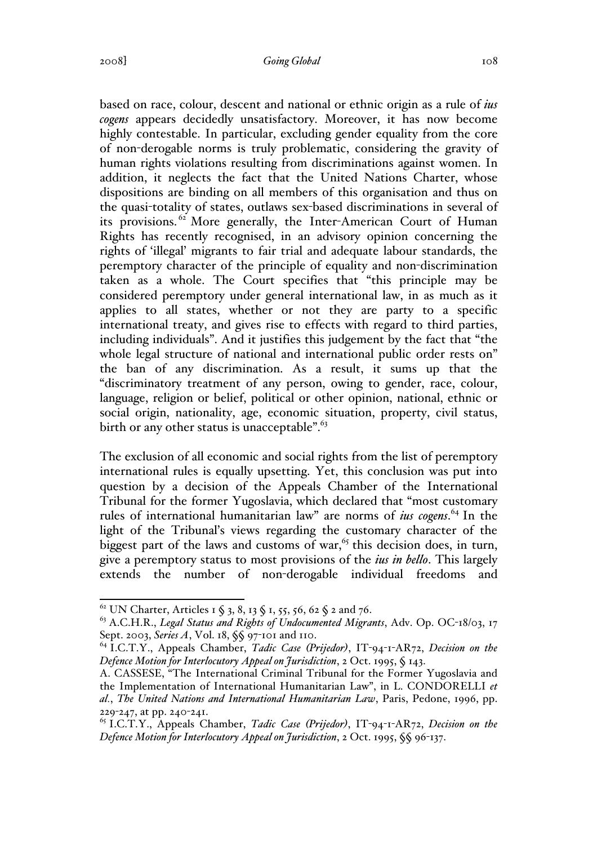based on race, colour, descent and national or ethnic origin as a rule of *ius cogens* appears decidedly unsatisfactory. Moreover, it has now become highly contestable. In particular, excluding gender equality from the core of non-derogable norms is truly problematic, considering the gravity of human rights violations resulting from discriminations against women. In addition, it neglects the fact that the United Nations Charter, whose dispositions are binding on all members of this organisation and thus on the quasi-totality of states, outlaws sex-based discriminations in several of its provisions. <sup>62</sup> More generally, the Inter-American Court of Human Rights has recently recognised, in an advisory opinion concerning the rights of 'illegal' migrants to fair trial and adequate labour standards, the peremptory character of the principle of equality and non-discrimination taken as a whole. The Court specifies that "this principle may be considered peremptory under general international law, in as much as it applies to all states, whether or not they are party to a specific international treaty, and gives rise to effects with regard to third parties, including individuals". And it justifies this judgement by the fact that "the whole legal structure of national and international public order rests on" the ban of any discrimination. As a result, it sums up that the "discriminatory treatment of any person, owing to gender, race, colour, language, religion or belief, political or other opinion, national, ethnic or social origin, nationality, age, economic situation, property, civil status, birth or any other status is unacceptable".<sup>63</sup>

The exclusion of all economic and social rights from the list of peremptory international rules is equally upsetting. Yet, this conclusion was put into question by a decision of the Appeals Chamber of the International Tribunal for the former Yugoslavia, which declared that "most customary rules of international humanitarian law" are norms of *ius cogens*. <sup>64</sup> In the light of the Tribunal's views regarding the customary character of the biggest part of the laws and customs of war,  $65$  this decision does, in turn, give a peremptory status to most provisions of the *ius in bello*. This largely extends the number of non-derogable individual freedoms and

<sup>&</sup>lt;sup>62</sup> UN Charter, Articles 1 § 3, 8, 13 § 1, 55, 56, 62 § 2 and 76.<br><sup>63</sup> A.C.H.R., *Legal Status and Rights of Undocumented Migrants*, Adv. Op. OC-18/03, 17 Sept. 2003, *Series A*, Vol. 18, §§ 97-101 and 110.

<sup>64</sup> I.C.T.Y., Appeals Chamber, *Tadic Case (Prijedor)*, IT-94-1-AR72, *Decision on the Defence Motion for Interlocutory Appeal on Jurisdiction*, 2 Oct. 1995, § 143.

A. CASSESE, "The International Criminal Tribunal for the Former Yugoslavia and the Implementation of International Humanitarian Law", in L. CONDORELLI *et al.*, *The United Nations and International Humanitarian Law*, Paris, Pedone, 1996, pp. 229-247, at pp. 240-241.

<sup>65</sup> I.C.T.Y., Appeals Chamber, *Tadic Case (Prijedor)*, IT-94-1-AR72, *Decision on the Defence Motion for Interlocutory Appeal on Jurisdiction*, 2 Oct. 1995, §§ 96-137.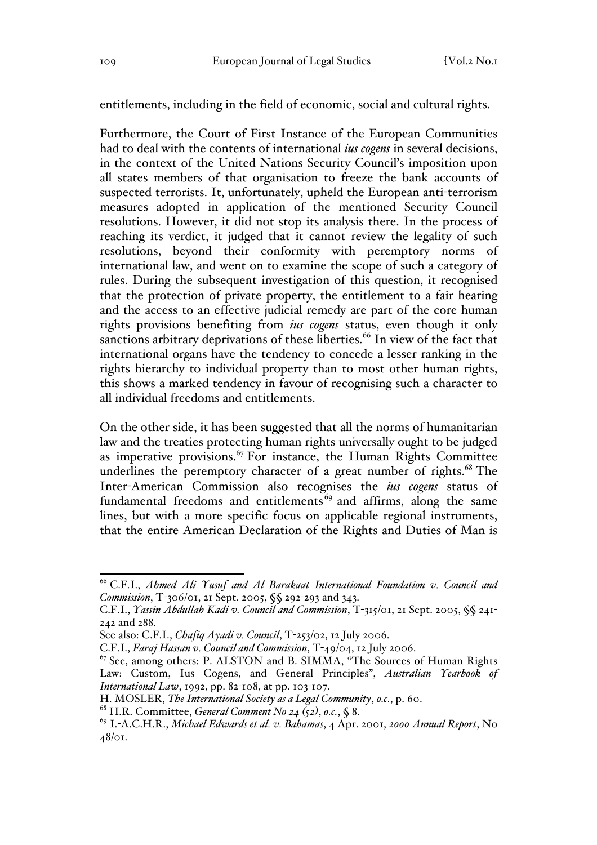entitlements, including in the field of economic, social and cultural rights.

Furthermore, the Court of First Instance of the European Communities had to deal with the contents of international *ius cogens* in several decisions, in the context of the United Nations Security Council's imposition upon all states members of that organisation to freeze the bank accounts of suspected terrorists. It, unfortunately, upheld the European anti-terrorism measures adopted in application of the mentioned Security Council resolutions. However, it did not stop its analysis there. In the process of reaching its verdict, it judged that it cannot review the legality of such resolutions, beyond their conformity with peremptory norms of international law, and went on to examine the scope of such a category of rules. During the subsequent investigation of this question, it recognised that the protection of private property, the entitlement to a fair hearing and the access to an effective judicial remedy are part of the core human rights provisions benefiting from *ius cogens* status, even though it only sanctions arbitrary deprivations of these liberties.<sup>66</sup> In view of the fact that international organs have the tendency to concede a lesser ranking in the rights hierarchy to individual property than to most other human rights, this shows a marked tendency in favour of recognising such a character to all individual freedoms and entitlements.

On the other side, it has been suggested that all the norms of humanitarian law and the treaties protecting human rights universally ought to be judged as imperative provisions. $67$  For instance, the Human Rights Committee underlines the peremptory character of a great number of rights.<sup>68</sup> The Inter-American Commission also recognises the *ius cogens* status of fundamental freedoms and entitlements<sup>69</sup> and affirms, along the same lines, but with a more specific focus on applicable regional instruments, that the entire American Declaration of the Rights and Duties of Man is

 <sup>66</sup> C.F.I., *Ahmed Ali Yusuf and Al Barakaat International Foundation v. Council and Commission*, T-306/01, 21 Sept. 2005, §§ 292-293 and 343.

C.F.I., *Yassin Abdullah Kadi v. Council and Commission*, T-315/01, 21 Sept. 2005, §§ 241- 242 and 288.

See also: C.F.I., *Chafiq Ayadi v. Council*, T-253/02, 12 July 2006.

C.F.I., *Faraj Hassan v. Council and Commission*, T-49/04, 12 July 2006.<br><sup>67</sup> See, among others: P. ALSTON and B. SIMMA, "The Sources of Human Rights Law: Custom, Ius Cogens, and General Principles", *Australian Yearbook of International Law*, 1992, pp. 82-108, at pp. 103-107.

H. MOSLER, *The International Society as a Legal Community*, *o.c.*, p. 60.

<sup>68</sup> H.R. Committee, *General Comment No 24 (52)*, *o.c.*, § 8. <sup>69</sup> I.-A.C.H.R., *Michael Edwards et al. v. Bahamas*, 4 Apr. 2001, *2000 Annual Report*, No 48/01.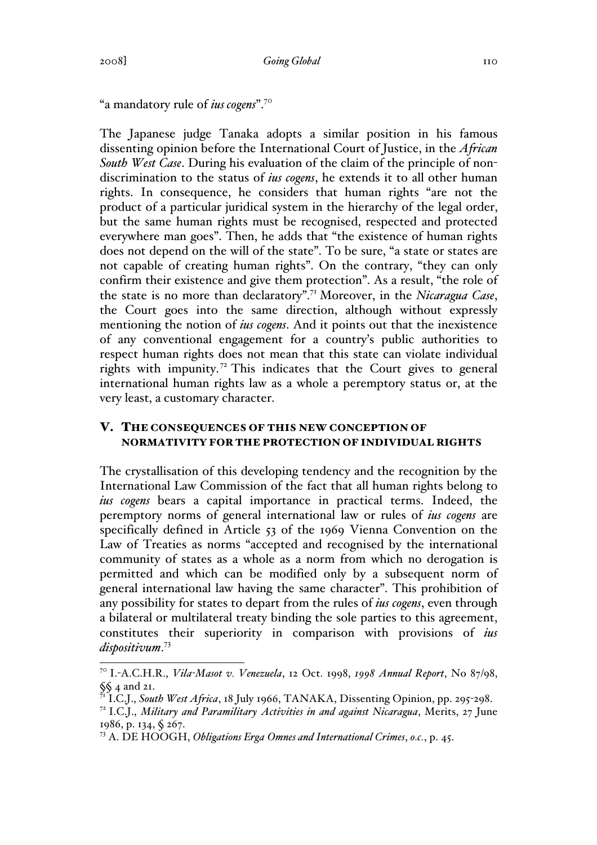"a mandatory rule of *ius cogens*".<sup>70</sup>

The Japanese judge Tanaka adopts a similar position in his famous dissenting opinion before the International Court of Justice, in the *African South West Case*. During his evaluation of the claim of the principle of nondiscrimination to the status of *ius cogens*, he extends it to all other human rights. In consequence, he considers that human rights "are not the product of a particular juridical system in the hierarchy of the legal order, but the same human rights must be recognised, respected and protected everywhere man goes". Then, he adds that "the existence of human rights does not depend on the will of the state". To be sure, "a state or states are not capable of creating human rights". On the contrary, "they can only confirm their existence and give them protection". As a result, "the role of the state is no more than declaratory".<sup>71</sup> Moreover, in the *Nicaragua Case*, the Court goes into the same direction, although without expressly mentioning the notion of *ius cogens*. And it points out that the inexistence of any conventional engagement for a country's public authorities to respect human rights does not mean that this state can violate individual rights with impunity. <sup>72</sup> This indicates that the Court gives to general international human rights law as a whole a peremptory status or, at the very least, a customary character.

### V. THE CONSEQUENCES OF THIS NEW CONCEPTION OF NORMATIVITY FOR THE PROTECTION OF INDIVIDUAL RIGHTS

The crystallisation of this developing tendency and the recognition by the International Law Commission of the fact that all human rights belong to *ius cogens* bears a capital importance in practical terms. Indeed, the peremptory norms of general international law or rules of *ius cogens* are specifically defined in Article 53 of the 1969 Vienna Convention on the Law of Treaties as norms "accepted and recognised by the international community of states as a whole as a norm from which no derogation is permitted and which can be modified only by a subsequent norm of general international law having the same character". This prohibition of any possibility for states to depart from the rules of *ius cogens*, even through a bilateral or multilateral treaty binding the sole parties to this agreement, constitutes their superiority in comparison with provisions of *ius dispositivum*. 73

 <sup>70</sup> I.-A.C.H.R., *Vila-Masot v. Venezuela*, 12 Oct. 1998, *1998 Annual Report*, No 87/98, §§ 4 and 21.

<sup>&</sup>lt;sup>71</sup> I.C.J., *South West Africa*, 18 July 1966, TANAKA, Dissenting Opinion, pp. 295-298.

<sup>72</sup> I.C.J., *Military and Paramilitary Activities in and against Nicaragua*, Merits, 27 June 1986, p. 134, § 267.

<sup>73</sup> A. DE HOOGH, *Obligations Erga Omnes and International Crimes*, *o.c.*, p. 45.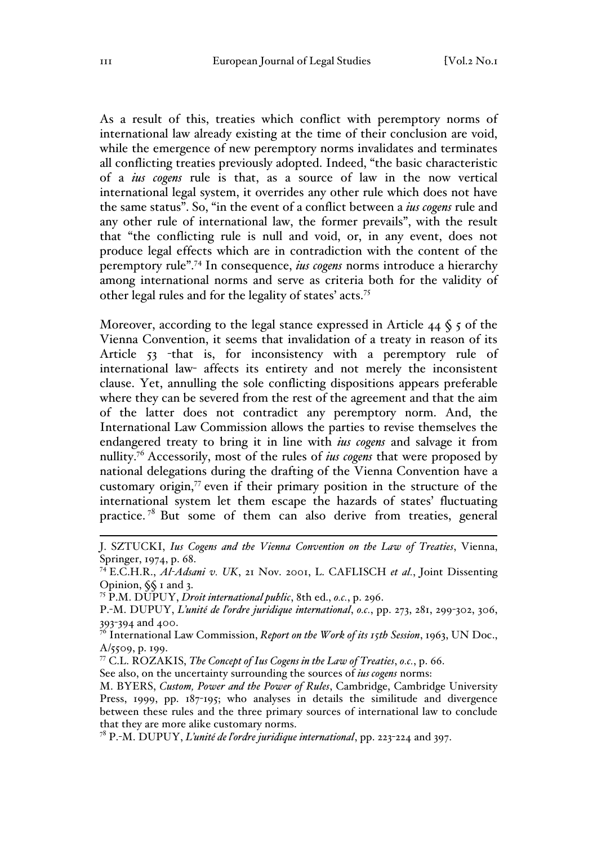As a result of this, treaties which conflict with peremptory norms of international law already existing at the time of their conclusion are void, while the emergence of new peremptory norms invalidates and terminates all conflicting treaties previously adopted. Indeed, "the basic characteristic of a *ius cogens* rule is that, as a source of law in the now vertical international legal system, it overrides any other rule which does not have the same status". So, "in the event of a conflict between a *ius cogens* rule and any other rule of international law, the former prevails", with the result that "the conflicting rule is null and void, or, in any event, does not produce legal effects which are in contradiction with the content of the peremptory rule".74 In consequence, *ius cogens* norms introduce a hierarchy among international norms and serve as criteria both for the validity of other legal rules and for the legality of states' acts.<sup>75</sup>

Moreover, according to the legal stance expressed in Article  $44\$   $5\$  of the Vienna Convention, it seems that invalidation of a treaty in reason of its Article 53 -that is, for inconsistency with a peremptory rule of international law- affects its entirety and not merely the inconsistent clause. Yet, annulling the sole conflicting dispositions appears preferable where they can be severed from the rest of the agreement and that the aim of the latter does not contradict any peremptory norm. And, the International Law Commission allows the parties to revise themselves the endangered treaty to bring it in line with *ius cogens* and salvage it from nullity.76 Accessorily, most of the rules of *ius cogens* that were proposed by national delegations during the drafting of the Vienna Convention have a customary origin, $77$  even if their primary position in the structure of the international system let them escape the hazards of states' fluctuating practice. <sup>78</sup> But some of them can also derive from treaties, general

J. SZTUCKI, *Ius Cogens and the Vienna Convention on the Law of Treaties*, Vienna, Springer, 1974, p. 68.

<sup>74</sup> E.C.H.R., *Al-Adsani v. UK*, 21 Nov. 2001, L. CAFLISCH *et al.*, Joint Dissenting Opinion, §§ 1 and 3.

<sup>75</sup> P.M. DUPUY, *Droit international public*, 8th ed., *o.c.*, p. 296.

P.-M. DUPUY, *L'unité de l'ordre juridique international*, *o.c.*, pp. 273, 281, 299-302, 306, 393-394 and 400.

<sup>76</sup> International Law Commission, *Report on the Work of its 15th Session*, 1963, UN Doc.,  $A/5509$ , p. 199.

<sup>77</sup> C.L. ROZAKIS, *The Concept of Ius Cogens in the Law of Treaties*, *o.c.*, p. 66.

See also, on the uncertainty surrounding the sources of *ius cogens* norms:

M. BYERS, *Custom, Power and the Power of Rules*, Cambridge, Cambridge University Press, 1999, pp. 187-195; who analyses in details the similitude and divergence between these rules and the three primary sources of international law to conclude that they are more alike customary norms.

<sup>78</sup> P.-M. DUPUY, *L'unité de l'ordre juridique international*, pp. 223-224 and 397.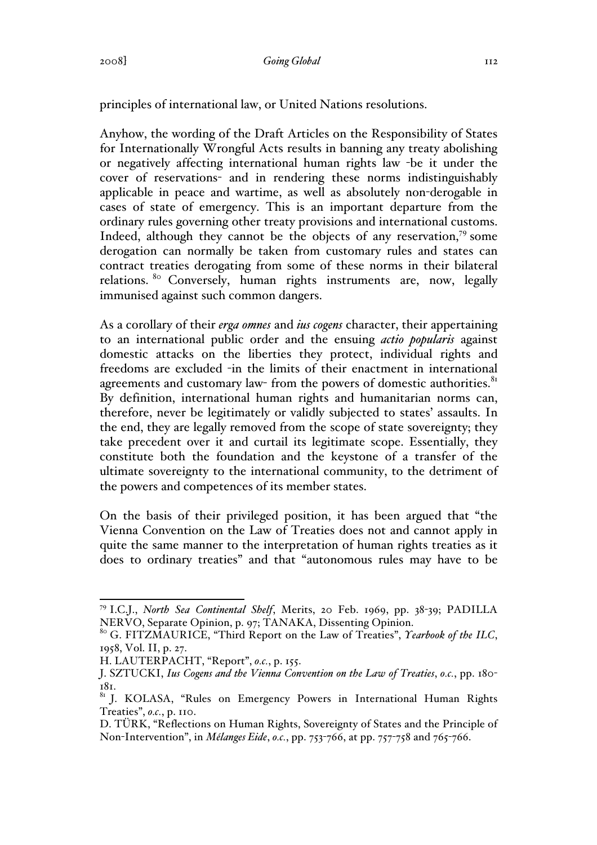principles of international law, or United Nations resolutions.

Anyhow, the wording of the Draft Articles on the Responsibility of States for Internationally Wrongful Acts results in banning any treaty abolishing or negatively affecting international human rights law -be it under the cover of reservations- and in rendering these norms indistinguishably applicable in peace and wartime, as well as absolutely non-derogable in cases of state of emergency. This is an important departure from the ordinary rules governing other treaty provisions and international customs. Indeed, although they cannot be the objects of any reservation, $79$  some derogation can normally be taken from customary rules and states can contract treaties derogating from some of these norms in their bilateral relations. <sup>80</sup> Conversely, human rights instruments are, now, legally immunised against such common dangers.

As a corollary of their *erga omnes* and *ius cogens* character, their appertaining to an international public order and the ensuing *actio popularis* against domestic attacks on the liberties they protect, individual rights and freedoms are excluded -in the limits of their enactment in international agreements and customary law- from the powers of domestic authorities.<sup>81</sup> By definition, international human rights and humanitarian norms can, therefore, never be legitimately or validly subjected to states' assaults. In the end, they are legally removed from the scope of state sovereignty; they take precedent over it and curtail its legitimate scope. Essentially, they constitute both the foundation and the keystone of a transfer of the ultimate sovereignty to the international community, to the detriment of the powers and competences of its member states.

On the basis of their privileged position, it has been argued that "the Vienna Convention on the Law of Treaties does not and cannot apply in quite the same manner to the interpretation of human rights treaties as it does to ordinary treaties" and that "autonomous rules may have to be

 <sup>79</sup> I.C.J., *North Sea Continental Shelf*, Merits, 20 Feb. 1969, pp. 38-39; PADILLA NERVO, Separate Opinion, p. 97; TANAKA, Dissenting Opinion.

<sup>80</sup> G. FITZMAURICE, "Third Report on the Law of Treaties", *Yearbook of the ILC*, 1958, Vol. II, p. 27.

H. LAUTERPACHT, "Report", *o.c.*, p. 155.

J. SZTUCKI, *Ius Cogens and the Vienna Convention on the Law of Treaties*, *o.c.*, pp. 180- 181.

<sup>&</sup>lt;sup>81</sup> J. KOLASA, "Rules on Emergency Powers in International Human Rights Treaties", *o.c.*, p. 110.

D. TÜRK, "Reflections on Human Rights, Sovereignty of States and the Principle of Non-Intervention", in *Mélanges Eide*, *o.c.*, pp. 753-766, at pp. 757-758 and 765-766.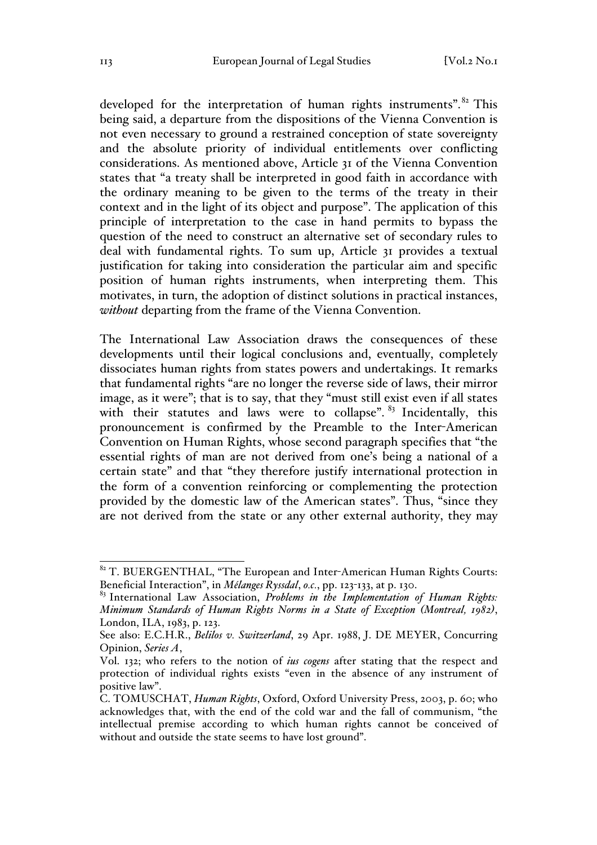developed for the interpretation of human rights instruments". $82$  This being said, a departure from the dispositions of the Vienna Convention is not even necessary to ground a restrained conception of state sovereignty and the absolute priority of individual entitlements over conflicting considerations. As mentioned above, Article 31 of the Vienna Convention states that "a treaty shall be interpreted in good faith in accordance with the ordinary meaning to be given to the terms of the treaty in their context and in the light of its object and purpose". The application of this principle of interpretation to the case in hand permits to bypass the question of the need to construct an alternative set of secondary rules to deal with fundamental rights. To sum up, Article 31 provides a textual justification for taking into consideration the particular aim and specific position of human rights instruments, when interpreting them. This motivates, in turn, the adoption of distinct solutions in practical instances, *without* departing from the frame of the Vienna Convention.

The International Law Association draws the consequences of these developments until their logical conclusions and, eventually, completely dissociates human rights from states powers and undertakings. It remarks that fundamental rights "are no longer the reverse side of laws, their mirror image, as it were"; that is to say, that they "must still exist even if all states with their statutes and laws were to collapse". <sup>83</sup> Incidentally, this pronouncement is confirmed by the Preamble to the Inter-American Convention on Human Rights, whose second paragraph specifies that "the essential rights of man are not derived from one's being a national of a certain state" and that "they therefore justify international protection in the form of a convention reinforcing or complementing the protection provided by the domestic law of the American states". Thus, "since they are not derived from the state or any other external authority, they may

<sup>&</sup>lt;sup>82</sup> T. BUERGENTHAL, "The European and Inter-American Human Rights Courts:

Beneficial Interaction", in *Mélanges Ryssdal*, *o.c.*, pp. 123-133, at p. 130.<br><sup>83</sup> International Law Association, *Problems in the Implementation of Human Rights: Minimum Standards of Human Rights Norms in a State of Exception (Montreal, 1982)*, London, ILA, 1983, p. 123.

See also: E.C.H.R., *Belilos v. Switzerland*, 29 Apr. 1988, J. DE MEYER, Concurring Opinion, *Series A*,

Vol. 132; who refers to the notion of *ius cogens* after stating that the respect and protection of individual rights exists "even in the absence of any instrument of positive law".

C. TOMUSCHAT, *Human Rights*, Oxford, Oxford University Press, 2003, p. 60; who acknowledges that, with the end of the cold war and the fall of communism, "the intellectual premise according to which human rights cannot be conceived of without and outside the state seems to have lost ground".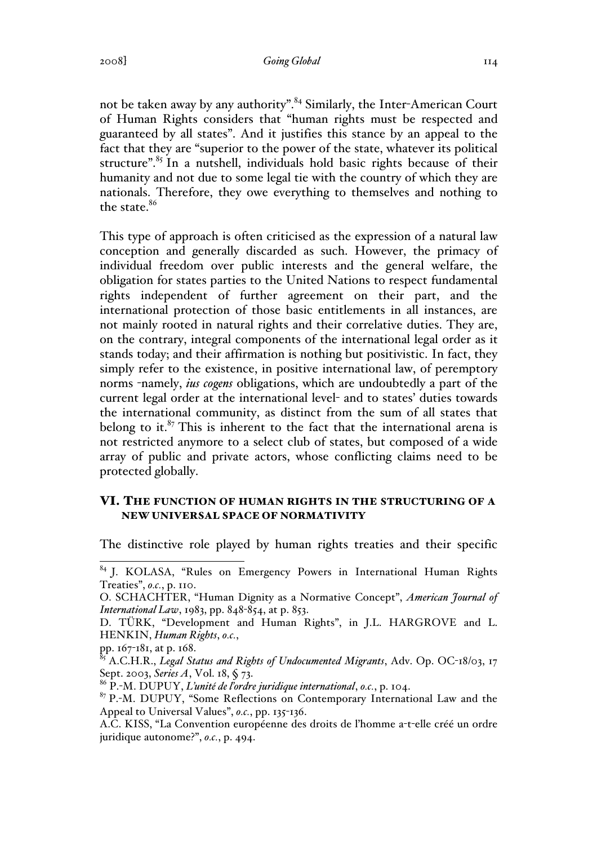not be taken away by any authority".<sup>84</sup> Similarly, the Inter-American Court of Human Rights considers that "human rights must be respected and guaranteed by all states". And it justifies this stance by an appeal to the fact that they are "superior to the power of the state, whatever its political structure".<sup>85</sup> In a nutshell, individuals hold basic rights because of their humanity and not due to some legal tie with the country of which they are nationals. Therefore, they owe everything to themselves and nothing to the state  $86$ 

This type of approach is often criticised as the expression of a natural law conception and generally discarded as such. However, the primacy of individual freedom over public interests and the general welfare, the obligation for states parties to the United Nations to respect fundamental rights independent of further agreement on their part, and the international protection of those basic entitlements in all instances, are not mainly rooted in natural rights and their correlative duties. They are, on the contrary, integral components of the international legal order as it stands today; and their affirmation is nothing but positivistic. In fact, they simply refer to the existence, in positive international law, of peremptory norms -namely, *ius cogens* obligations, which are undoubtedly a part of the current legal order at the international level- and to states' duties towards the international community, as distinct from the sum of all states that belong to it. $87$  This is inherent to the fact that the international arena is not restricted anymore to a select club of states, but composed of a wide array of public and private actors, whose conflicting claims need to be protected globally.

### VI. THE FUNCTION OF HUMAN RIGHTS IN THE STRUCTURING OF A NEW UNIVERSAL SPACE OF NORMATIVITY

The distinctive role played by human rights treaties and their specific

<sup>&</sup>lt;sup>84</sup> J. KOLASA, "Rules on Emergency Powers in International Human Rights Treaties", *o.c.*, p. 110.

O. SCHACHTER, "Human Dignity as a Normative Concept", *American Journal of International Law*, 1983, pp. 848-854, at p. 853.

D. TÜRK, "Development and Human Rights", in J.L. HARGROVE and L. HENKIN, *Human Rights*, *o.c.*,

pp. 167-181, at p. 168.

<sup>85</sup> A.C.H.R., *Legal Status and Rights of Undocumented Migrants*, Adv. Op. OC-18/03, 17 Sept. 2003, *Series A*, Vol. 18, § 73.<br><sup>86</sup> P.-M. DUPUY, *L'unité de l'ordre juridique international*, *o.c.*, p. 104.

<sup>&</sup>lt;sup>87</sup> P.-M. DUPUY, "Some Reflections on Contemporary International Law and the Appeal to Universal Values", *o.c.*, pp. 135-136.

A.C. KISS, "La Convention européenne des droits de l'homme a-t-elle créé un ordre juridique autonome?", *o.c.*, p. 494.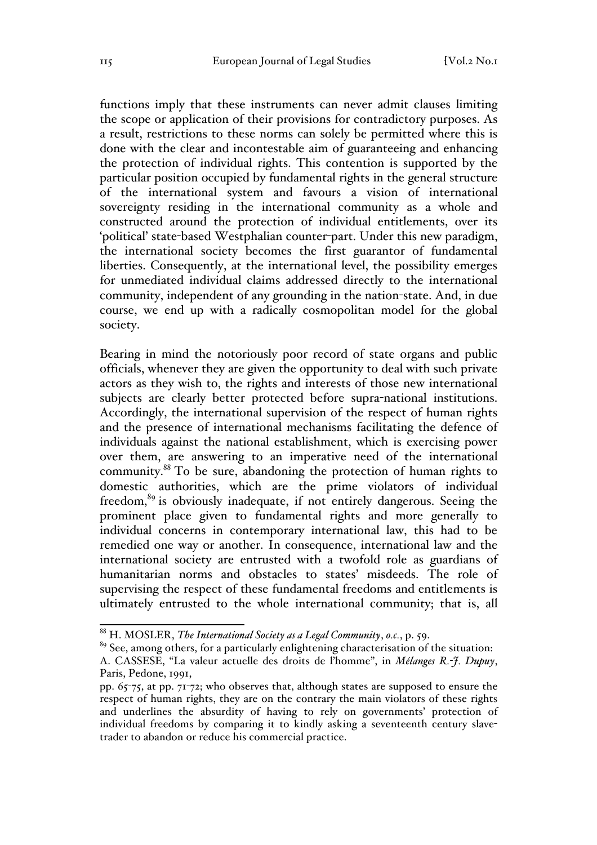functions imply that these instruments can never admit clauses limiting the scope or application of their provisions for contradictory purposes. As a result, restrictions to these norms can solely be permitted where this is done with the clear and incontestable aim of guaranteeing and enhancing the protection of individual rights. This contention is supported by the particular position occupied by fundamental rights in the general structure of the international system and favours a vision of international sovereignty residing in the international community as a whole and constructed around the protection of individual entitlements, over its 'political' state-based Westphalian counter-part. Under this new paradigm, the international society becomes the first guarantor of fundamental liberties. Consequently, at the international level, the possibility emerges for unmediated individual claims addressed directly to the international community, independent of any grounding in the nation-state. And, in due course, we end up with a radically cosmopolitan model for the global society.

Bearing in mind the notoriously poor record of state organs and public officials, whenever they are given the opportunity to deal with such private actors as they wish to, the rights and interests of those new international subjects are clearly better protected before supra-national institutions. Accordingly, the international supervision of the respect of human rights and the presence of international mechanisms facilitating the defence of individuals against the national establishment, which is exercising power over them, are answering to an imperative need of the international community.<sup>88</sup> To be sure, abandoning the protection of human rights to domestic authorities, which are the prime violators of individual freedom,<sup>89</sup> is obviously inadequate, if not entirely dangerous. Seeing the prominent place given to fundamental rights and more generally to individual concerns in contemporary international law, this had to be remedied one way or another. In consequence, international law and the international society are entrusted with a twofold role as guardians of humanitarian norms and obstacles to states' misdeeds. The role of supervising the respect of these fundamental freedoms and entitlements is ultimately entrusted to the whole international community; that is, all

 <sup>88</sup> H. MOSLER, *The International Society as a Legal Community*, *o.c.*, p. 59.

<sup>&</sup>lt;sup>89</sup> See, among others, for a particularly enlightening characterisation of the situation: A. CASSESE, "La valeur actuelle des droits de l'homme", in *Mélanges R.-J. Dupuy*, Paris, Pedone, 1991,

pp. 65-75, at pp. 71-72; who observes that, although states are supposed to ensure the respect of human rights, they are on the contrary the main violators of these rights and underlines the absurdity of having to rely on governments' protection of individual freedoms by comparing it to kindly asking a seventeenth century slavetrader to abandon or reduce his commercial practice.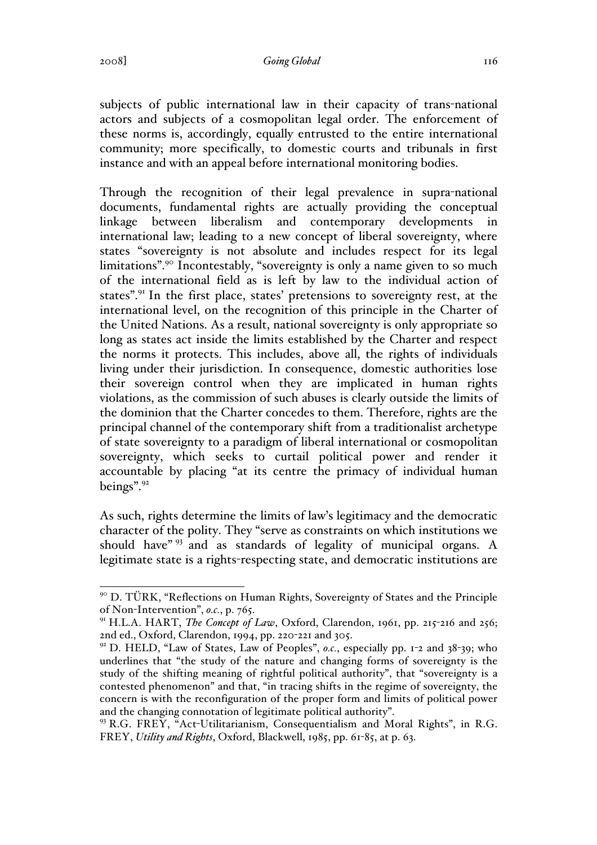subjects of public international law in their capacity of trans-national actors and subjects of a cosmopolitan legal order. The enforcement of these norms is, accordingly, equally entrusted to the entire international community; more specifically, to domestic courts and tribunals in first instance and with an appeal before international monitoring bodies.

Through the recognition of their legal prevalence in supra-national documents, fundamental rights are actually providing the conceptual linkage between liberalism and contemporary developments in international law; leading to a new concept of liberal sovereignty, where states "sovereignty is not absolute and includes respect for its legal limitations".<sup>90</sup> Incontestably, "sovereignty is only a name given to so much of the international field as is left by law to the individual action of states".<sup>91</sup> In the first place, states' pretensions to sovereignty rest, at the international level, on the recognition of this principle in the Charter of the United Nations. As a result, national sovereignty is only appropriate so long as states act inside the limits established by the Charter and respect the norms it protects. This includes, above all, the rights of individuals living under their jurisdiction. In consequence, domestic authorities lose their sovereign control when they are implicated in human rights violations, as the commission of such abuses is clearly outside the limits of the dominion that the Charter concedes to them. Therefore, rights are the principal channel of the contemporary shift from a traditionalist archetype of state sovereignty to a paradigm of liberal international or cosmopolitan sovereignty, which seeks to curtail political power and render it accountable by placing "at its centre the primacy of individual human beings".<sup>92</sup>

As such, rights determine the limits of law's legitimacy and the democratic character of the polity. They "serve as constraints on which institutions we should have" <sup>93</sup> and as standards of legality of municipal organs. A legitimate state is a rights-respecting state, and democratic institutions are

 <sup>90</sup> D. TÜRK, "Reflections on Human Rights, Sovereignty of States and the Principle of Non-Intervention", *o.c.*, p. 765.<br><sup>91</sup> H.L.A. HART, *The Concept of Law*, Oxford, Clarendon, 1961, pp. 215-216 and 256;

<sup>2</sup>nd ed., Oxford, Clarendon, 1994, pp. 220-221 and 305.

<sup>92</sup> D. HELD, "Law of States, Law of Peoples", *o.c.*, especially pp. 1-2 and 38-39; who underlines that "the study of the nature and changing forms of sovereignty is the study of the shifting meaning of rightful political authority", that "sovereignty is a contested phenomenon" and that, "in tracing shifts in the regime of sovereignty, the concern is with the reconfiguration of the proper form and limits of political power and the changing connotation of legitimate political authority".

<sup>93</sup> R.G. FREY, "Act-Utilitarianism, Consequentialism and Moral Rights", in R.G. FREY, *Utility and Rights*, Oxford, Blackwell, 1985, pp. 61-85, at p. 63.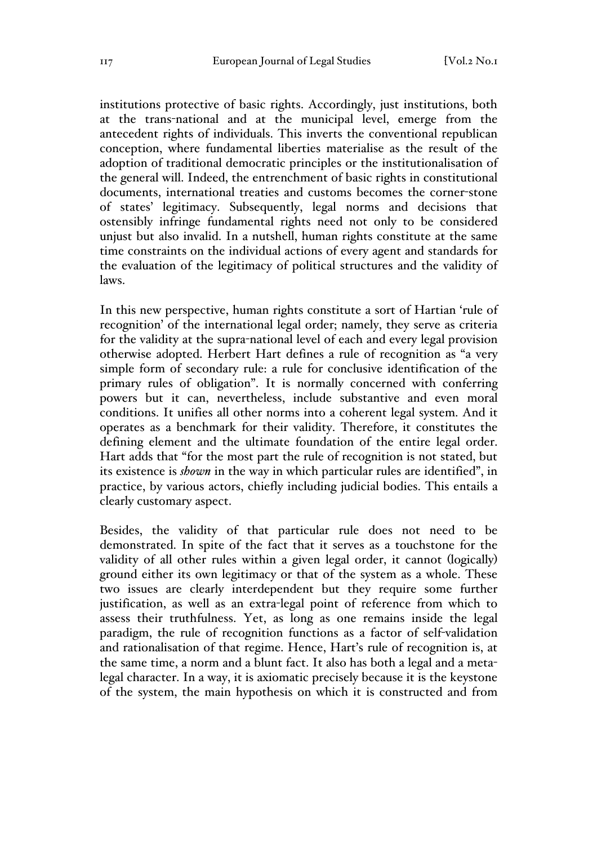institutions protective of basic rights. Accordingly, just institutions, both at the trans-national and at the municipal level, emerge from the antecedent rights of individuals. This inverts the conventional republican conception, where fundamental liberties materialise as the result of the adoption of traditional democratic principles or the institutionalisation of the general will. Indeed, the entrenchment of basic rights in constitutional documents, international treaties and customs becomes the corner-stone of states' legitimacy. Subsequently, legal norms and decisions that ostensibly infringe fundamental rights need not only to be considered unjust but also invalid. In a nutshell, human rights constitute at the same time constraints on the individual actions of every agent and standards for the evaluation of the legitimacy of political structures and the validity of laws.

In this new perspective, human rights constitute a sort of Hartian 'rule of recognition' of the international legal order; namely, they serve as criteria for the validity at the supra-national level of each and every legal provision otherwise adopted. Herbert Hart defines a rule of recognition as "a very simple form of secondary rule: a rule for conclusive identification of the primary rules of obligation". It is normally concerned with conferring powers but it can, nevertheless, include substantive and even moral conditions. It unifies all other norms into a coherent legal system. And it operates as a benchmark for their validity. Therefore, it constitutes the defining element and the ultimate foundation of the entire legal order. Hart adds that "for the most part the rule of recognition is not stated, but its existence is *shown* in the way in which particular rules are identified", in practice, by various actors, chiefly including judicial bodies. This entails a clearly customary aspect.

Besides, the validity of that particular rule does not need to be demonstrated. In spite of the fact that it serves as a touchstone for the validity of all other rules within a given legal order, it cannot (logically) ground either its own legitimacy or that of the system as a whole. These two issues are clearly interdependent but they require some further justification, as well as an extra-legal point of reference from which to assess their truthfulness. Yet, as long as one remains inside the legal paradigm, the rule of recognition functions as a factor of self-validation and rationalisation of that regime. Hence, Hart's rule of recognition is, at the same time, a norm and a blunt fact. It also has both a legal and a metalegal character. In a way, it is axiomatic precisely because it is the keystone of the system, the main hypothesis on which it is constructed and from